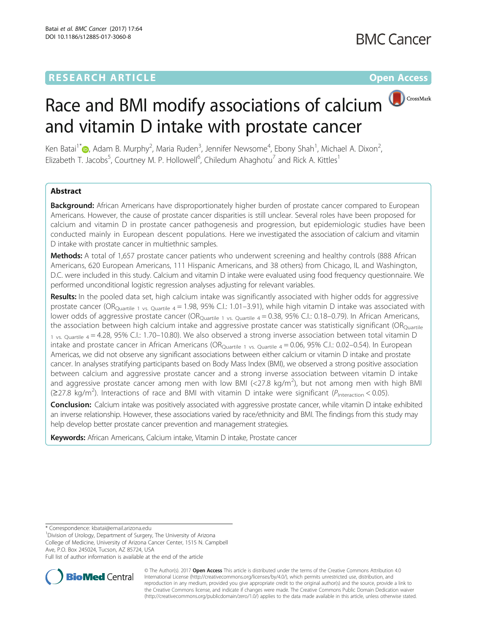# **RESEARCH ARTICLE Example 2014 12:30 The Community Community Community Community Community Community Community**

**BMC Cancer** 

# Race and BMI modify associations of calcium CrossMark and vitamin D intake with prostate cancer

Ken Batai<sup>1[\\*](http://orcid.org/0000-0002-0317-1118)</sup>�, Adam B. Murphy<sup>2</sup>, Maria Ruden<sup>3</sup>, Jennifer Newsome<sup>4</sup>, Ebony Shah<sup>1</sup>, Michael A. Dixon<sup>2</sup> , Elizabeth T. Jacobs<sup>5</sup>, Courtney M. P. Hollowell<sup>6</sup>, Chiledum Ahaghotu<sup>7</sup> and Rick A. Kittles<sup>1</sup>

# Abstract

Background: African Americans have disproportionately higher burden of prostate cancer compared to European Americans. However, the cause of prostate cancer disparities is still unclear. Several roles have been proposed for calcium and vitamin D in prostate cancer pathogenesis and progression, but epidemiologic studies have been conducted mainly in European descent populations. Here we investigated the association of calcium and vitamin D intake with prostate cancer in multiethnic samples.

Methods: A total of 1,657 prostate cancer patients who underwent screening and healthy controls (888 African Americans, 620 European Americans, 111 Hispanic Americans, and 38 others) from Chicago, IL and Washington, D.C. were included in this study. Calcium and vitamin D intake were evaluated using food frequency questionnaire. We performed unconditional logistic regression analyses adjusting for relevant variables.

Results: In the pooled data set, high calcium intake was significantly associated with higher odds for aggressive prostate cancer (OR<sub>Ouartile 1 vs. Quartile 4</sub> = 1.98, 95% C.I.: 1.01–3.91), while high vitamin D intake was associated with lower odds of aggressive prostate cancer (OR<sub>Quartile 1 vs. Quartile 4</sub> = 0.38, 95% C.I.: 0.18-0.79). In African Americans, the association between high calcium intake and aggressive prostate cancer was statistically significant ( $OR<sub>Quartile</sub>$ 1 vs. Quartile  $4 = 4.28$ , 95% C.I.: 1.70–10.80). We also observed a strong inverse association between total vitamin D intake and prostate cancer in African Americans (OR $_{\text{Quartile 1 vs. Quartile 4}} = 0.06$ , 95% C.I.: 0.02-0.54). In European Americas, we did not observe any significant associations between either calcium or vitamin D intake and prostate cancer. In analyses stratifying participants based on Body Mass Index (BMI), we observed a strong positive association between calcium and aggressive prostate cancer and a strong inverse association between vitamin D intake and aggressive prostate cancer among men with low BMI (<27.8 kg/m<sup>2</sup>), but not among men with high BMI ( $\geq$ 27.8 kg/m<sup>2</sup>). Interactions of race and BMI with vitamin D intake were significant ( $P_{\text{interaction}}$  < 0.05).

Conclusion: Calcium intake was positively associated with aggressive prostate cancer, while vitamin D intake exhibited an inverse relationship. However, these associations varied by race/ethnicity and BMI. The findings from this study may help develop better prostate cancer prevention and management strategies.

Keywords: African Americans, Calcium intake, Vitamin D intake, Prostate cancer

\* Correspondence: [kbatai@email.arizona.edu](mailto:kbatai@email.arizona.edu) <sup>1</sup>

<sup>1</sup> Division of Urology, Department of Surgery, The University of Arizona College of Medicine, University of Arizona Cancer Center, 1515 N. Campbell Ave, P.O. Box 245024, Tucson, AZ 85724, USA

Full list of author information is available at the end of the article



© The Author(s). 2017 **Open Access** This article is distributed under the terms of the Creative Commons Attribution 4.0 International License [\(http://creativecommons.org/licenses/by/4.0/](http://creativecommons.org/licenses/by/4.0/)), which permits unrestricted use, distribution, and reproduction in any medium, provided you give appropriate credit to the original author(s) and the source, provide a link to the Creative Commons license, and indicate if changes were made. The Creative Commons Public Domain Dedication waiver [\(http://creativecommons.org/publicdomain/zero/1.0/](http://creativecommons.org/publicdomain/zero/1.0/)) applies to the data made available in this article, unless otherwise stated.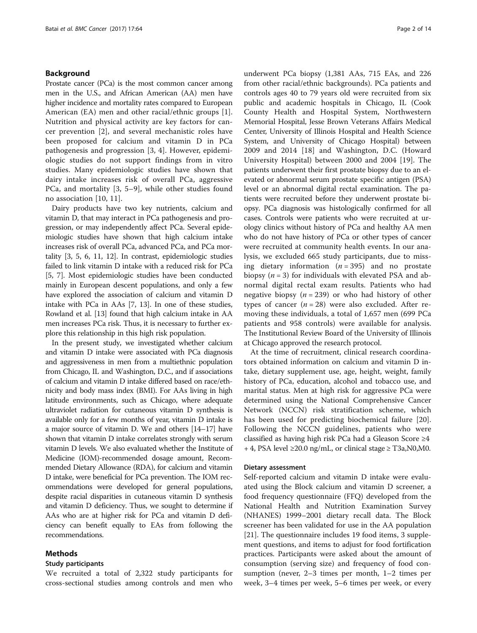## Background

Prostate cancer (PCa) is the most common cancer among men in the U.S., and African American (AA) men have higher incidence and mortality rates compared to European American (EA) men and other racial/ethnic groups [\[1](#page-11-0)]. Nutrition and physical activity are key factors for cancer prevention [\[2](#page-11-0)], and several mechanistic roles have been proposed for calcium and vitamin D in PCa pathogenesis and progression [\[3](#page-11-0), [4\]](#page-11-0). However, epidemiologic studies do not support findings from in vitro studies. Many epidemiologic studies have shown that dairy intake increases risk of overall PCa, aggressive PCa, and mortality [[3, 5](#page-11-0)–[9\]](#page-12-0), while other studies found no association [\[10](#page-12-0), [11\]](#page-12-0).

Dairy products have two key nutrients, calcium and vitamin D, that may interact in PCa pathogenesis and progression, or may independently affect PCa. Several epidemiologic studies have shown that high calcium intake increases risk of overall PCa, advanced PCa, and PCa mortality [[3](#page-11-0), [5](#page-11-0), [6](#page-11-0), [11](#page-12-0), [12](#page-12-0)]. In contrast, epidemiologic studies failed to link vitamin D intake with a reduced risk for PCa [[5, 7\]](#page-11-0). Most epidemiologic studies have been conducted mainly in European descent populations, and only a few have explored the association of calcium and vitamin D intake with PCa in AAs [\[7](#page-11-0), [13\]](#page-12-0). In one of these studies, Rowland et al. [[13\]](#page-12-0) found that high calcium intake in AA men increases PCa risk. Thus, it is necessary to further explore this relationship in this high risk population.

In the present study, we investigated whether calcium and vitamin D intake were associated with PCa diagnosis and aggressiveness in men from a multiethnic population from Chicago, IL and Washington, D.C., and if associations of calcium and vitamin D intake differed based on race/ethnicity and body mass index (BMI). For AAs living in high latitude environments, such as Chicago, where adequate ultraviolet radiation for cutaneous vitamin D synthesis is available only for a few months of year, vitamin D intake is a major source of vitamin D. We and others [[14](#page-12-0)–[17](#page-12-0)] have shown that vitamin D intake correlates strongly with serum vitamin D levels. We also evaluated whether the Institute of Medicine (IOM)-recommended dosage amount, Recommended Dietary Allowance (RDA), for calcium and vitamin D intake, were beneficial for PCa prevention. The IOM recommendations were developed for general populations, despite racial disparities in cutaneous vitamin D synthesis and vitamin D deficiency. Thus, we sought to determine if AAs who are at higher risk for PCa and vitamin D deficiency can benefit equally to EAs from following the recommendations.

## Methods

## Study participants

We recruited a total of 2,322 study participants for cross-sectional studies among controls and men who

underwent PCa biopsy (1,381 AAs, 715 EAs, and 226 from other racial/ethnic backgrounds). PCa patients and controls ages 40 to 79 years old were recruited from six public and academic hospitals in Chicago, IL (Cook County Health and Hospital System, Northwestern Memorial Hospital, Jesse Brown Veterans Affairs Medical Center, University of Illinois Hospital and Health Science System, and University of Chicago Hospital) between 2009 and 2014 [[18\]](#page-12-0) and Washington, D.C. (Howard University Hospital) between 2000 and 2004 [[19\]](#page-12-0). The patients underwent their first prostate biopsy due to an elevated or abnormal serum prostate specific antigen (PSA) level or an abnormal digital rectal examination. The patients were recruited before they underwent prostate biopsy. PCa diagnosis was histologically confirmed for all cases. Controls were patients who were recruited at urology clinics without history of PCa and healthy AA men who do not have history of PCa or other types of cancer were recruited at community health events. In our analysis, we excluded 665 study participants, due to missing dietary information  $(n = 395)$  and no prostate biopsy  $(n = 3)$  for individuals with elevated PSA and abnormal digital rectal exam results. Patients who had negative biopsy ( $n = 239$ ) or who had history of other types of cancer  $(n = 28)$  were also excluded. After removing these individuals, a total of 1,657 men (699 PCa patients and 958 controls) were available for analysis. The Institutional Review Board of the University of Illinois at Chicago approved the research protocol.

At the time of recruitment, clinical research coordinators obtained information on calcium and vitamin D intake, dietary supplement use, age, height, weight, family history of PCa, education, alcohol and tobacco use, and marital status. Men at high risk for aggressive PCa were determined using the National Comprehensive Cancer Network (NCCN) risk stratification scheme, which has been used for predicting biochemical failure [\[20](#page-12-0)]. Following the NCCN guidelines, patients who were classified as having high risk PCa had a Gleason Score ≥4 + 4, PSA level ≥20.0 ng/mL, or clinical stage ≥ T3a, N0, M0.

#### Dietary assessment

Self-reported calcium and vitamin D intake were evaluated using the Block calcium and vitamin D screener, a food frequency questionnaire (FFQ) developed from the National Health and Nutrition Examination Survey (NHANES) 1999–2001 dietary recall data. The Block screener has been validated for use in the AA population [[21\]](#page-12-0). The questionnaire includes 19 food items, 3 supplement questions, and items to adjust for food fortification practices. Participants were asked about the amount of consumption (serving size) and frequency of food consumption (never, 2–3 times per month, 1–2 times per week, 3–4 times per week, 5–6 times per week, or every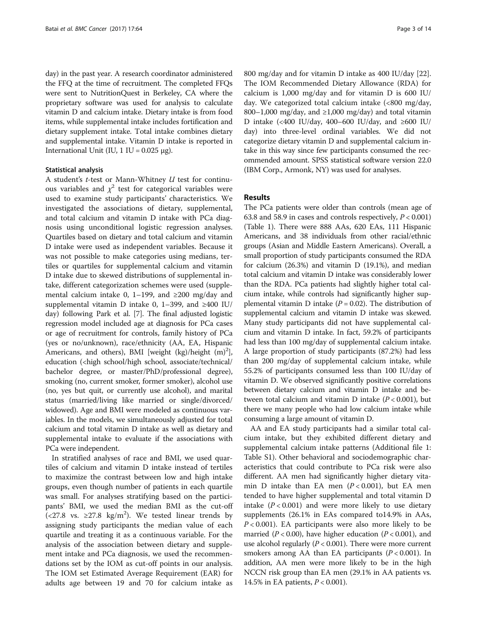day) in the past year. A research coordinator administered the FFQ at the time of recruitment. The completed FFQs were sent to NutritionQuest in Berkeley, CA where the proprietary software was used for analysis to calculate vitamin D and calcium intake. Dietary intake is from food items, while supplemental intake includes fortification and dietary supplement intake. Total intake combines dietary and supplemental intake. Vitamin D intake is reported in International Unit (IU, 1 IU =  $0.025 \mu$ g).

## Statistical analysis

A student's t-test or Mann-Whitney U test for continuous variables and  $\chi^2$  test for categorical variables were used to examine study participants' characteristics. We investigated the associations of dietary, supplemental, and total calcium and vitamin D intake with PCa diagnosis using unconditional logistic regression analyses. Quartiles based on dietary and total calcium and vitamin D intake were used as independent variables. Because it was not possible to make categories using medians, tertiles or quartiles for supplemental calcium and vitamin D intake due to skewed distributions of supplemental intake, different categorization schemes were used (supplemental calcium intake 0, 1–199, and  $\geq 200$  mg/day and supplemental vitamin D intake 0, 1–399, and ≥400 IU/ day) following Park et al. [[7\]](#page-11-0). The final adjusted logistic regression model included age at diagnosis for PCa cases or age of recruitment for controls, family history of PCa (yes or no/unknown), race/ethnicity (AA, EA, Hispanic Americans, and others), BMI [weight  $(kg)/height$   $(m)^2$ ], education (<high school/high school, associate/technical/ bachelor degree, or master/PhD/professional degree), smoking (no, current smoker, former smoker), alcohol use (no, yes but quit, or currently use alcohol), and marital status (married/living like married or single/divorced/ widowed). Age and BMI were modeled as continuous variables. In the models, we simultaneously adjusted for total calcium and total vitamin D intake as well as dietary and supplemental intake to evaluate if the associations with PCa were independent.

In stratified analyses of race and BMI, we used quartiles of calcium and vitamin D intake instead of tertiles to maximize the contrast between low and high intake groups, even though number of patients in each quartile was small. For analyses stratifying based on the participants' BMI, we used the median BMI as the cut-off (<27.8 vs. ≥27.8 kg/m<sup>2</sup>). We tested linear trends by assigning study participants the median value of each quartile and treating it as a continuous variable. For the analysis of the association between dietary and supplement intake and PCa diagnosis, we used the recommendations set by the IOM as cut-off points in our analysis. The IOM set Estimated Average Requirement (EAR) for adults age between 19 and 70 for calcium intake as 800 mg/day and for vitamin D intake as 400 IU/day [\[22](#page-12-0)]. The IOM Recommended Dietary Allowance (RDA) for calcium is 1,000 mg/day and for vitamin D is 600 IU/ day. We categorized total calcium intake (<800 mg/day, 800–1,000 mg/day, and  $\geq$ 1,000 mg/day) and total vitamin D intake (<400 IU/day, 400–600 IU/day, and ≥600 IU/ day) into three-level ordinal variables. We did not categorize dietary vitamin D and supplemental calcium intake in this way since few participants consumed the recommended amount. SPSS statistical software version 22.0 (IBM Corp., Armonk, NY) was used for analyses.

## Results

The PCa patients were older than controls (mean age of 63.8 and 58.9 in cases and controls respectively,  $P < 0.001$ ) (Table [1\)](#page-3-0). There were 888 AAs, 620 EAs, 111 Hispanic Americans, and 38 individuals from other racial/ethnic groups (Asian and Middle Eastern Americans). Overall, a small proportion of study participants consumed the RDA for calcium (26.3%) and vitamin D (19.1%), and median total calcium and vitamin D intake was considerably lower than the RDA. PCa patients had slightly higher total calcium intake, while controls had significantly higher supplemental vitamin D intake ( $P = 0.02$ ). The distribution of supplemental calcium and vitamin D intake was skewed. Many study participants did not have supplemental calcium and vitamin D intake. In fact, 59.2% of participants had less than 100 mg/day of supplemental calcium intake. A large proportion of study participants (87.2%) had less than 200 mg/day of supplemental calcium intake, while 55.2% of participants consumed less than 100 IU/day of vitamin D. We observed significantly positive correlations between dietary calcium and vitamin D intake and between total calcium and vitamin D intake  $(P < 0.001)$ , but there we many people who had low calcium intake while consuming a large amount of vitamin D.

AA and EA study participants had a similar total calcium intake, but they exhibited different dietary and supplemental calcium intake patterns (Additional file [1](#page-11-0): Table S1). Other behavioral and sociodemographic characteristics that could contribute to PCa risk were also different. AA men had significantly higher dietary vitamin D intake than EA men  $(P < 0.001)$ , but EA men tended to have higher supplemental and total vitamin D intake  $(P < 0.001)$  and were more likely to use dietary supplements (26.1% in EAs compared to14.9% in AAs,  $P < 0.001$ ). EA participants were also more likely to be married ( $P < 0.00$ ), have higher education ( $P < 0.001$ ), and use alcohol regularly ( $P < 0.001$ ). There were more current smokers among AA than EA participants  $(P < 0.001)$ . In addition, AA men were more likely to be in the high NCCN risk group than EA men (29.1% in AA patients vs. 14.5% in EA patients,  $P < 0.001$ ).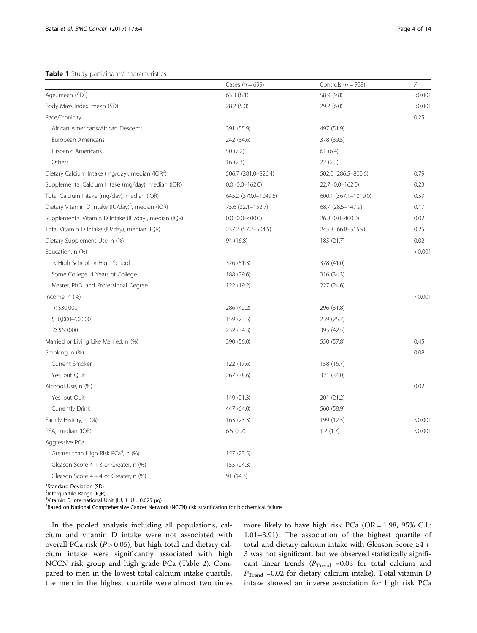## <span id="page-3-0"></span>Table 1 Study participants' characteristics

|                                                               | Cases ( $n = 699$ )   | Controls ( $n = 958$ ) | $\overline{P}$ |
|---------------------------------------------------------------|-----------------------|------------------------|----------------|
| Age, mean (SD <sup>1</sup> )                                  | 63.3(8.1)             | 58.9 (9.8)             | < 0.001        |
| Body Mass Index, mean (SD)                                    | 28.2(5.0)             | 29.2 (6.0)             | < 0.001        |
| Race/Ethnicity                                                |                       |                        | 0.25           |
| African Americans/African Descents                            | 391 (55.9)            | 497 (51.9)             |                |
| European Americans                                            | 242 (34.6)            | 378 (39.5)             |                |
| Hispanic Americans                                            | 50 (7.2)              | 61(6.4)                |                |
| Others                                                        | 16(2.3)               | 22(2.3)                |                |
| Dietary Calcium Intake (mg/day), median (IQR <sup>2</sup> )   | 506.7 (281.0-826.4)   | 502.0 (286.5-800.6)    | 0.79           |
| Supplemental Calcium Intake (mg/day), median (IQR)            | $0.0$ $(0.0 - 162.0)$ | 22.7 (0.0-162.0)       | 0.23           |
| Total Calcium Intake (mg/day), median (IQR)                   | 645.2 (370.0-1049.5)  | 600.1 (367.1-1019.0)   | 0.59           |
| Dietary Vitamin D Intake (IU/day) <sup>3</sup> , median (IQR) | 75.6 (32.1-152.7)     | 68.7 (28.5-147.9)      | 0.17           |
| Supplemental Vitamin D Intake (IU/day), median (IQR)          | $0.0$ $(0.0-400.0)$   | 26.8 (0.0-400.0)       | 0.02           |
| Total Vitamin D Intake (IU/day), median (IQR)                 | 237.2 (57.2-504.5)    | 245.8 (66.8-515.9)     | 0.25           |
| Dietary Supplement Use, n (%)                                 | 94 (16.8)             | 185 (21.7)             | 0.02           |
| Education, n (%)                                              |                       |                        | < 0.001        |
| < High School or High School                                  | 326 (51.3)            | 378 (41.0)             |                |
| Some College, 4 Years of College                              | 188 (29.6)            | 316 (34.3)             |                |
| Master, PhD, and Professional Degree                          | 122 (19.2)            | 227 (24.6)             |                |
| Income, n (%)                                                 |                       |                        | < 0.001        |
| $<$ \$30,000                                                  | 286 (42.2)            | 296 (31.8)             |                |
| \$30,000-60,000                                               | 159 (23.5)            | 239 (25.7)             |                |
| $\geq$ \$60,000                                               | 232 (34.3)            | 395 (42.5)             |                |
| Married or Living Like Married, n (%)                         | 390 (56.0)            | 550 (57.8)             | 0.45           |
| Smoking, n (%)                                                |                       |                        | 0.08           |
| Current Smoker                                                | 122 (17.6)            | 158 (16.7)             |                |
| Yes, but Quit                                                 | 267 (38.6)            | 321 (34.0)             |                |
| Alcohol Use, n (%)                                            |                       |                        | 0.02           |
| Yes, but Quit                                                 | 149 (21.3)            | 201 (21.2)             |                |
| Currently Drink                                               | 447 (64.0)            | 560 (58.9)             |                |
| Family History, n (%)                                         | 163 (23.3)            | 199 (12.5)             | < 0.001        |
| PSA, median (IQR)                                             | 6.5(7.7)              | 1.2(1.7)               | < 0.001        |
| Aggressive PCa                                                |                       |                        |                |
| Greater than High Risk PCa <sup>4</sup> , n (%)               | 157 (23.5)            |                        |                |
| Gleason Score $4 + 3$ or Greater, n (%)                       | 155 (24.3)            |                        |                |
| Gleason Score 4 + 4 or Greater, n (%)                         | 91 (14.3)             |                        |                |

<sup>1</sup>Standard Deviation (SD)

<sup>2</sup>Interquartile Range (IQR)

 $3$ Vitamin D International Unit (IU, 1 IU = 0.025 µg) Based on National Comprehensive Cancer Network (NCCN) risk stratification for biochemical failure

In the pooled analysis including all populations, calcium and vitamin D intake were not associated with overall PCa risk ( $P > 0.05$ ), but high total and dietary calcium intake were significantly associated with high NCCN risk group and high grade PCa (Table [2\)](#page-4-0). Compared to men in the lowest total calcium intake quartile, the men in the highest quartile were almost two times more likely to have high risk PCa (OR = 1.98, 95% C.I.: 1.01–3.91). The association of the highest quartile of total and dietary calcium intake with Gleason Score  ${\geq}4$  + 3 was not significant, but we observed statistically significant linear trends ( $P_{\text{Trend}}$  =0.03 for total calcium and  $P_{\text{Trend}}$  =0.02 for dietary calcium intake). Total vitamin D intake showed an inverse association for high risk PCa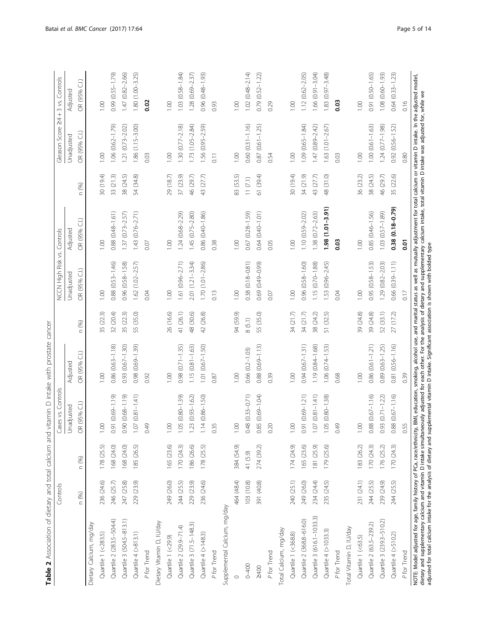<span id="page-4-0"></span>

| n (%)<br>Dietary Calcium, mg/day<br>Quartile 1 (<283.5) | Controls   |            | Contro<br>Cases vs.       |                         |              | NCCN High Risk vs. Controls |                     |                          | Gleason Score 24 + 3 vs. Controls |                         |
|---------------------------------------------------------|------------|------------|---------------------------|-------------------------|--------------|-----------------------------|---------------------|--------------------------|-----------------------------------|-------------------------|
|                                                         |            |            | Unadjusted                | Adjusted                |              | Unadjusted                  | Adjusted            |                          | Unadjusted                        | Adjusted                |
|                                                         |            | n (%)      | R (95% C.I.)<br>O         | OR (95% C.I.)           | n (%)        | OR (95% C.I.)               | OR (95% C.I.)       | $\circledS$<br>$\subset$ | OR (95% C.I.)                     | OR (95% C.I.)           |
|                                                         |            |            |                           |                         |              |                             |                     |                          |                                   |                         |
|                                                         | 236 (24.6) | 178 (25.5) | $\odot$                   | 00.1                    | 35 (22.3)    | 0.00                        | 1.00                | 30 (19.4)                | 1,00                              | 1,00                    |
| Quartile 2 (283.5-504.4)                                | 246 (25.7) | 168 (24.0) | $(61.1 - 69.0)$ 19        | $0.86(0.63 - 1.18)$     | 32 (20.4)    | $0.88(0.53 - 1.46)$         | 0.88 (0.48-1.61)    | 33 (21.3)                | $1.06(0.62 - 1.79)$               | 0.99 (0.55-1.79)        |
| Quartile 3 (504.5-813.1)                                | 247 (25.8) | 168 (24.0) | $0.90(0.68 - 1.19)$       | $0.93(0.67 - 1.30)$     | 35 (22.3)    | 0.96 (0.58-1.58)            | $1.37(0.73 - 2.57)$ | 38 (24.5)                | $1.21 (0.73 - 2.02)$              | $1.47(0.82 - 2.66)$     |
| Quartile 4 (>813.1)                                     | 229 (23.9) | 185 (26.5) | $1.07(0.81 - 1.41)$       | $(0.69 - 1.39)$<br>0.98 | (35.0)<br>55 | $1.62(1.02 - 2.57)$         | $1.43(0.76 - 2.71)$ | 54 (34.8)                | $1.86(1.15 - 3.00)$               | 1.80 (1.00-3.25)        |
| P for Trend                                             |            |            | 0.49                      | 0.92                    |              | 0.04                        | 0.07                |                          | 0.03                              | 0.02                    |
| Dietary Vitamin D, IU/day                               |            |            |                           |                         |              |                             |                     |                          |                                   |                         |
| Quartile 1 (<29.9)                                      | 249 (26.0) | 165 (23.6) | $\odot$                   | 00.1                    | 26 (16.6)    | 1.00                        | 1.00                | 29 (18.7)                | 1.00                              | 00.1                    |
| Quartile 2 (29.9-71.4)                                  | 244 (25.5) | 170 (24.3) | .05 (0.80-1.39)           | $0.98$ $(0.71 - 1.35)$  | 41 (26.1)    | 1.61 (0.96-2.71)            | $1.24(0.68 - 2.29)$ | 37 (23.9)                | $1.30(0.77 - 2.18)$               | 1.03 (0.58-1.84)        |
| Quartile 3 (71.5-148.3)                                 | 229 (23.9) | 186 (26.6) | $.23(0.93 - 1.62)$        | $1.15(0.81 - 1.63)$     | 48 (30.6)    | $2.01(1.21 - 3.34)$         | $-2.80$             | 46 (29.7)                | 1.73 (1.05-2.84)                  | $1.28(0.69 - 2.37)$     |
| Quartile 4 (>148.3)                                     | 236 (24.6) | 178 (25.5) | $.14(0.86 - 1.50)$        | $1.01 (0.67 - 1.50)$    | 42 (26.8)    | $1.70(1.01 - 2.86)$         | 0.86 (0.40-1.86)    | 43 (27.7)                | $1.56(0.95 - 2.59)$               | $(0.48 - 1.93)$<br>0.96 |
| P for Trend                                             |            |            | 0.35                      | 0.87                    |              | 0.13                        | 0.38                |                          | $\overline{0.11}$                 | 0.93                    |
| Supplemental Calcium, mg/day                            |            |            |                           |                         |              |                             |                     |                          |                                   |                         |
| $\circ$                                                 | 464 (48.4) | 384 (54.9) | $\odot$                   | 00.1                    | 94 (59.9)    | 1.00                        | 00.1                | 83 (53.5)                | 1.00                              | 00.1                    |
| $0 - 400$                                               | 103 (10.8) | 41 (5.9)   | $0.48$ $(0.33 - 0.71)$    | $0.66$ $(0.2 - 1.03)$   | 8(5.1)       | $0.38(0.18 - 0.81)$         | 0.67 (0.28-1.59)    | 11(7.1)                  | $0.60$ $(0.31 - 1.16)$            | $1.02(0.48 - 2.14)$     |
| 2400                                                    | 391 (40.8) | 274 (39.2) | 0.85 (0.69-1.04)          | $0.88(0.69 - 1.13)$     | 55 (35.0)    | 0.69 (0.49-0.99)            | 0.64 (0.40-1.01)    | 61 (39.4)                | $0.87(0.61 - 1.25)$               | $0.79(0.52 - 1.22)$     |
| P for Trend                                             |            |            | 0.20                      | 0.39                    |              | 0.07                        | 0.05                |                          | 0.54                              | 0.29                    |
| Total Calcium, mg/day                                   |            |            |                           |                         |              |                             |                     |                          |                                   |                         |
| Quartile 1 (<368.8)                                     | 240 (25.1) | 174 (24.9) | S.                        | 1.00                    | 34 (21.7)    | 1.00                        | 00.1                | 30 (19.4)                | 1.00                              | 1,00                    |
| Quartile 2 (368.8-616.0)                                | 249 (26.0) | 165 (23.6) | 0.91 (0.69-1.21)          | $0.94(0.67 - 1.31)$     | 34 (21.7)    | $0.96(0.58 - 1.60)$         | 1.10 (0.59-2.02)    | 34 (21.9)                | $1.09(0.65 - 1.84)$               | $1.12(0.62 - 2.05)$     |
| Quartile 3 (616.1-1033.3)                               | 234 (24.4) | 181 (25.9) | $07(0.81 - 1.41)$         | 1.19 (0.84-1.68)        | 38 (24.2)    | $1.15(0.70 - 1.88)$         | $.38(0.72 - 2.63)$  | 43 (27.7)                | 47 (0.89-2.42)                    | $1.66$ $(0.91 - 3.04)$  |
| Quartile 4 (>1033.3)                                    | 235 (24.5) | 179 (25.6) | 05 (0.80-1.38)            | $1.06(0.74 - 1.53)$     | 51 (32.5)    | 1.53 (0.96-2.45)            | $1.98(1.01 - 3.91)$ | 48 (31.0)                | 1.63 (1.01-2.67)                  | 1.83 (0.97 - 3.48)      |
| P for Trend                                             |            |            | 0.49                      | 0.68                    |              | 0.04                        | ິອິ                 |                          | 0.03                              | 0.03                    |
| Total Vitamin D, IU/day                                 |            |            |                           |                         |              |                             |                     |                          |                                   |                         |
| Quartile 1 (<63.5)                                      | 231 (24.1) | 183 (26.2) | 00.1                      | 0.00                    | 39 (24.8)    | 1.00                        | 1.00                | 36 (23.2)                | 1.00                              | 1.00                    |
| Quartile 2 (63.5-239.2)                                 | 244 (25.5) | 170 (24.3) | $0.88$ $(0.67 - 1.16)$    | $0.86(0.61 - 1.21)$     | 39 (24.8)    | $0.95(0.58 - 1.53)$         | 0.85 (0.46-1.56)    | 38 (24.5)                | $1.00(0.61 - 1.63)$               | 0.91 (0.50-1.65)        |
| Quartile 3 (239.3-510.2)                                | 239 (24.9) | 176 (25.2) | $.93(0.71 - 1.22)$        | 0.89 (0.63-1.25)        | 52 (33.1)    | 1.29 (0.82-2.03)            | $1.03(0.57 - 1.89)$ | 46 (29.7)                | $1.24(0.77 - 1.98)$               | $1.08$ $(0.60 - 1.93)$  |
| Quartile 4 (>510.2)                                     | 244 (25.5) | 170 (24.3) | 88 (0.67-1.16)<br>$\circ$ | 0.81 (0.56-1.16)        | 27(17.2)     | 0.66 (0.39-1.11)            | $0.38(0.18 - 0.79)$ | 35 (22.6)                | 0.92 (0.56-1.52)                  | $(0.33 - 1.23)$<br>0.64 |
| P for Trend                                             |            |            | 0.55                      | 0.39                    |              | 0.17                        | $\overline{0}$      |                          | 0.80                              | 0.16                    |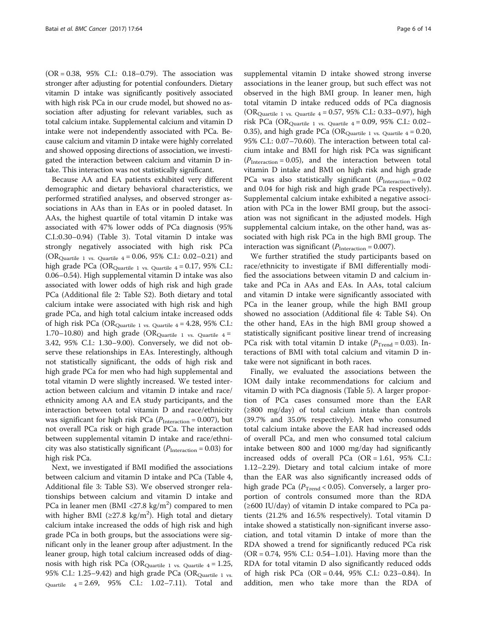(OR = 0.38, 95% C.I.: 0.18–0.79). The association was stronger after adjusting for potential confounders. Dietary vitamin D intake was significantly positively associated with high risk PCa in our crude model, but showed no association after adjusting for relevant variables, such as total calcium intake. Supplemental calcium and vitamin D intake were not independently associated with PCa. Because calcium and vitamin D intake were highly correlated and showed opposing directions of association, we investigated the interaction between calcium and vitamin D intake. This interaction was not statistically significant.

Because AA and EA patients exhibited very different demographic and dietary behavioral characteristics, we performed stratified analyses, and observed stronger associations in AAs than in EAs or in pooled dataset. In AAs, the highest quartile of total vitamin D intake was associated with 47% lower odds of PCa diagnosis (95% C.I.:0.30–0.94) (Table [3](#page-6-0)). Total vitamin D intake was strongly negatively associated with high risk PCa (OR<sub>Quartile 1 vs. Quartile 4</sub> = 0.06, 95% C.I.: 0.02–0.21) and high grade PCa (OR $_{\text{Quartile 1 vs. Quartile 4}}$  = 0.17, 95% C.I.: 0.06–0.54). High supplemental vitamin D intake was also associated with lower odds of high risk and high grade PCa (Additional file [2](#page-11-0): Table S2). Both dietary and total calcium intake were associated with high risk and high grade PCa, and high total calcium intake increased odds of high risk PCa (OR $_{\text{Quartile 1 vs. Quartile 4}}$  = 4.28, 95% C.I.: 1.70–10.80) and high grade (OR $_{\text{Quartile} \_1}$  vs. Quartile 4 = 3.42, 95% C.I.: 1.30–9.00). Conversely, we did not observe these relationships in EAs. Interestingly, although not statistically significant, the odds of high risk and high grade PCa for men who had high supplemental and total vitamin D were slightly increased. We tested interaction between calcium and vitamin D intake and race/ ethnicity among AA and EA study participants, and the interaction between total vitamin D and race/ethnicity was significant for high risk PCa ( $P_{\text{Interaction}}$  = 0.007), but not overall PCa risk or high grade PCa. The interaction between supplemental vitamin D intake and race/ethnicity was also statistically significant ( $P_{\text{Interaction}}$  = 0.03) for high risk PCa.

Next, we investigated if BMI modified the associations between calcium and vitamin D intake and PCa (Table [4](#page-7-0), Additional file [3:](#page-11-0) Table S3). We observed stronger relationships between calcium and vitamin D intake and PCa in leaner men (BMI <27.8  $\text{kg/m}^2$ ) compared to men with higher BMI (≥27.8 kg/m<sup>2</sup>). High total and dietary calcium intake increased the odds of high risk and high grade PCa in both groups, but the associations were significant only in the leaner group after adjustment. In the leaner group, high total calcium increased odds of diagnosis with high risk PCa (OR<sub>Quartile 1 vs. Quartile 4</sub> = 1.25, 95% C.I.: 1.25–9.42) and high grade PCa (OR $_{\text{Quartile 1 vs.}}$  $_{\text{Quartile}}$   $_4 = 2.69, 95\%$  C.I.: 1.02–7.11). Total and supplemental vitamin D intake showed strong inverse associations in the leaner group, but such effect was not observed in the high BMI group. In leaner men, high total vitamin D intake reduced odds of PCa diagnosis (ORQuartile 1 vs. Quartile 4 = 0.57, 95% C.I.: 0.33–0.97), high risk PCa (OR<sub>Quartile 1 vs. Quartile 4</sub> = 0.09, 95% C.I.: 0.02– 0.35), and high grade PCa (OR $_{\text{Ourtitle 1 vs. Quartile 4}}$  = 0.20, 95% C.I.: 0.07–70.60). The interaction between total calcium intake and BMI for high risk PCa was significant  $(P_{\text{Interaction}} = 0.05)$ , and the interaction between total vitamin D intake and BMI on high risk and high grade PCa was also statistically significant  $(P<sub>Interaction</sub> = 0.02$ and 0.04 for high risk and high grade PCa respectively). Supplemental calcium intake exhibited a negative association with PCa in the lower BMI group, but the association was not significant in the adjusted models. High supplemental calcium intake, on the other hand, was associated with high risk PCa in the high BMI group. The interaction was significant ( $P_{\text{Interaction}} = 0.007$ ).

We further stratified the study participants based on race/ethnicity to investigate if BMI differentially modified the associations between vitamin D and calcium intake and PCa in AAs and EAs. In AAs, total calcium and vitamin D intake were significantly associated with PCa in the leaner group, while the high BMI group showed no association (Additional file [4](#page-11-0): Table S4). On the other hand, EAs in the high BMI group showed a statistically significant positive linear trend of increasing PCa risk with total vitamin D intake ( $P_{\text{Trend}} = 0.03$ ). Interactions of BMI with total calcium and vitamin D intake were not significant in both races.

Finally, we evaluated the associations between the IOM daily intake recommendations for calcium and vitamin D with PCa diagnosis (Table [5\)](#page-8-0). A larger proportion of PCa cases consumed more than the EAR (≥800 mg/day) of total calcium intake than controls (39.7% and 35.0% respectively). Men who consumed total calcium intake above the EAR had increased odds of overall PCa, and men who consumed total calcium intake between 800 and 1000 mg/day had significantly increased odds of overall PCa (OR = 1.61, 95% C.I.: 1.12–2.29). Dietary and total calcium intake of more than the EAR was also significantly increased odds of high grade PCa ( $P_{\text{Trend}}$  < 0.05). Conversely, a larger proportion of controls consumed more than the RDA (≥600 IU/day) of vitamin D intake compared to PCa patients (21.2% and 16.5% respectively). Total vitamin D intake showed a statistically non-significant inverse association, and total vitamin D intake of more than the RDA showed a trend for significantly reduced PCa risk (OR = 0.74, 95% C.I.: 0.54–1.01). Having more than the RDA for total vitamin D also significantly reduced odds of high risk PCa (OR = 0.44, 95% C.I.: 0.23–0.84). In addition, men who take more than the RDA of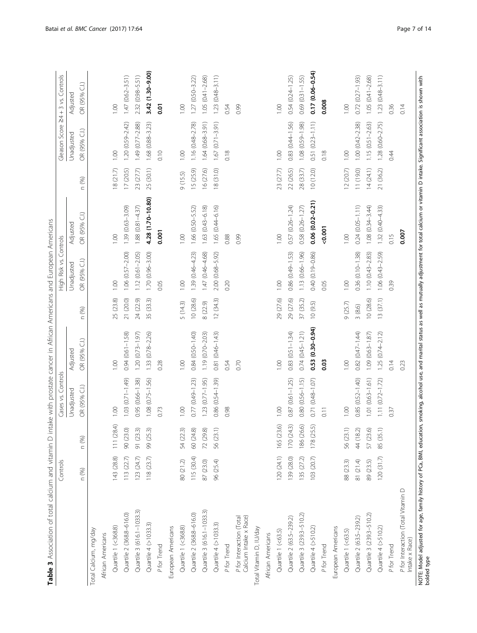<span id="page-6-0"></span>

| Table 3 Association of total calcium and vitamin D intake with prostate cancer in African Americans and European Americans                                                                                                               | Controls   |                     | Cases vs. Controls     |                          |           | High Risk vs.       | Controls                 |                  |                         | Gleason Score 24+3 vs. Controls |
|------------------------------------------------------------------------------------------------------------------------------------------------------------------------------------------------------------------------------------------|------------|---------------------|------------------------|--------------------------|-----------|---------------------|--------------------------|------------------|-------------------------|---------------------------------|
|                                                                                                                                                                                                                                          |            |                     | Unadjusted             | Adjusted                 |           | Unadjusted          | Adjusted                 |                  | Unadjusted              | Adjusted                        |
|                                                                                                                                                                                                                                          | n (%)      | n (%)               | OR (95% C.I.)          | $\widehat{d}$<br>OR (95% | n (%)     | OR (95% C.I.)       | $\widehat{d}$<br>OR (95% | (%)<br>$\subset$ | OR (95% C.I.)           | $\widehat{d}$<br>OR (95%        |
| Total Calcium, mg/day                                                                                                                                                                                                                    |            |                     |                        |                          |           |                     |                          |                  |                         |                                 |
| African Americans                                                                                                                                                                                                                        |            |                     |                        |                          |           |                     |                          |                  |                         |                                 |
| Quartile 1 (<368.8)                                                                                                                                                                                                                      | 143 (28.8) | 111 (28.4)          | 0.00                   | 1.00                     | 25 (23.8) | 1.00                | 001                      | 18(21.7)         | 00.1                    | 0.00                            |
| Quartile 2 (368.8-616.0)                                                                                                                                                                                                                 | 113 (22.7) | 90 (23.0)           | $1.03(0.71 - 1.49)$    | $0.94(0.61 - 1.58)$      | 21 (20.0) | $1.06(0.57 - 2.00)$ | 1.39 (0.63-3.09)         | 17 (20.5)        | 1.20 (0.59-2.42)        | $1.47(0.62 - 3.51)$             |
| Quartile 3 (616.1-1033.3)                                                                                                                                                                                                                | 123(24.7)  | 91 (23.3)           | $0.95(0.66 - 1.38)$    | $1.20(0.73 - 1.97)$      | 24 (22.9) | $1.12(0.61 - 2.05)$ | $1.88(0.81 - 4.37)$      | 23 (27.7)        | $1.49(0.77 - 2.88)$     | 2.32 (0.98-5.51)                |
| Quartile 4 (>1033.3)                                                                                                                                                                                                                     | 118(23.7)  | 99 (25.3)           | $1.08$ $(0.75 - 1.56)$ | 1.33 (0.78-2.26)         | 35 (33.3) | 1.70 (0.96-3.00)    | 4.28 (1.70-10.80)        | 25 (30.1)        | 1.68 (0.88-3.23)        | 3.42 (1.30-9.00)                |
| P for Trend                                                                                                                                                                                                                              |            |                     | 0.73                   | 0.28                     |           | 0.05                | 0.001                    |                  | 0.10                    | 0.01                            |
| European Americans                                                                                                                                                                                                                       |            |                     |                        |                          |           |                     |                          |                  |                         |                                 |
| Quartile 1 (<368.8)                                                                                                                                                                                                                      | 80 (21.2)  | 54 (22.3)           | 0.00                   | 1.00                     | 5(14.3)   | 1.00                | 1.00                     | 9(15.5)          | 1.00                    | 0.00                            |
| Quartile 2 (368.8-616.0)                                                                                                                                                                                                                 | 115 (30.4) | 60 (24.8)           | $0.77(0.49 - 1.23)$    | 0.84 (0.50-1.40)         | 10(28.6)  | 1.39 (0.46-4.23)    | 1.66 (0.50-5.52)         | 15 (25.9)        | $1.16(0.48 - 2.78)$     | $1.27(0.50 - 3.22)$             |
| Quartile 3 (616.1-1033.3)                                                                                                                                                                                                                | 87 (23.0)  | 72 (29.8)           | $1.23$ $(0.77 - 1.95)$ | $1.19(0.70 - 2.03)$      | 8 (22.9)  | $1.47(0.46 - 4.68)$ | 1.63 (0.43-6.18)         | 16 (27.6)        | $1.64(0.68 - 3.91)$     | $1.05(0.41 - 2.68)$             |
| Quartile 4 (>1033.3)                                                                                                                                                                                                                     | 96 (25.4)  | 56 (23.1)           | 0.86 (0.54-1.39)       | 0.81 (0.46-1.43)         | 12(34.3)  | 2.00 (0.68-5.92)    | $1.65(0.44 - 6.16)$      | 18 (31.0)        | $(0.71 - 3.91)$<br>1.67 | $(0.48 - 3.11)$<br>1.23         |
| P for Trend                                                                                                                                                                                                                              |            |                     | 0.98                   | 0.54                     |           | 0.20                | 0.88                     |                  | 0.18                    | 0.54                            |
| Calcium Intake x Race)<br>P for Interaction (Total                                                                                                                                                                                       |            |                     |                        | 0.70                     |           |                     | 0.99                     |                  |                         | 0.99                            |
| Total Vitamin D, IU/day                                                                                                                                                                                                                  |            |                     |                        |                          |           |                     |                          |                  |                         |                                 |
| African Americans                                                                                                                                                                                                                        |            |                     |                        |                          |           |                     |                          |                  |                         |                                 |
| Quartile 1 (<63.5)                                                                                                                                                                                                                       | 120(24.1)  | $\odot$<br>165 (23. | 1.00                   | 1.00                     | 29 (27.6) | 1.00                | 1.00                     | 23 (27.7)        | 1.00                    | 1.00                            |
| Quartile 2 (63.5-239.2)                                                                                                                                                                                                                  | 139 (28.0) | 170(24.3)           | $0.87(0.61 - 1.25)$    | $0.83(0.51 - 1.34)$      | 29 (27.6) | 0.86 (0.49-1.53)    | 0.57 (0.26-1.24)         | 22 (26.5)        | 0.83 (0.44-1.56)        | $0.54(0.24 - 1.25)$             |
| Quartile 3 (239.3-510.2)                                                                                                                                                                                                                 | 135 (27.2) | 186 (26.6)          | $0.80(0.56 - 1.15)$    | $0.74(0.45 - 1.21)$      | 37 (35.2) | 1.13 (0.66-1.96)    | 0.58 (0.26-1.27)         | 28 (33.7)        | 1.08 (0.59-1.98)        | $0.69(0.31 - 1.55)$             |
| Quartile 4 (>510.2)                                                                                                                                                                                                                      | 103 (20.7) | 5<br>178 (25.       | 0.71 (0.48-1.07)       | $0.53(0.30 - 0.94)$      | 10(9.5)   | 0.40 (0.19-0.86)    | $0.06(0.02 - 0.21)$      | 10 (12.0)        | $0.51 (0.23 - 1.11)$    | $0.17(0.06 - 0.54)$             |
| P for Trend                                                                                                                                                                                                                              |            |                     | 0.11                   | 0.03                     |           | 0.05                | $-0.001$                 |                  | 0.18                    | 0.008                           |
| European Americans                                                                                                                                                                                                                       |            |                     |                        |                          |           |                     |                          |                  |                         |                                 |
| Quartile 1 (<63.5)                                                                                                                                                                                                                       | 88 (23.3)  | 56 (23.1)           | 1.00                   | 1.00                     | 9(25.7)   | 0.00                | 0.00                     | 12(20.7)         | 1.00                    | 0.00                            |
| Quartile 2 (63.5-239.2)                                                                                                                                                                                                                  | 81 (21.4)  | 44 (18.2)           | $0.85(0.52 - 1.40)$    | 0.82 (0.47-1.44)         | 3(8.6)    | $0.36(0.10 - 1.38)$ | $0.24(0.05 - 1.11)$      | 11 (19.0)        | $1.00(0.42 - 2.38)$     | $0.72(0.27 - 1.93)$             |
| Quartile 3 (239.3-510.2)                                                                                                                                                                                                                 | 89 (23.5)  | 57 (23.6)           | $1.01(0.63 - 1.61)$    | $1.09(0.63 - 1.87)$      | 10 (28.6) | $1.10(0.43 - 2.83)$ | $1.08(0.34 - 3.44)$      | 14(24.1)         | $1.15(0.51 - 2.63)$     | $1.05(0.41 - 2.68)$             |
| Quartile 4 (>510.2)                                                                                                                                                                                                                      | 120(31.7)  | 85 (35.1            | $1.11(0.72 - 1.72)$    | $1.25(0.74 - 2.12)$      | 13(37.1)  | $1.06(0.43 - 2.59)$ | $1.32(0.40 - 4.33)$      | 21 (36.2)        | $1.28(0.60 - 2.75)$     | $1.23(0.48 - 3.11)$             |
| P for Trend                                                                                                                                                                                                                              |            |                     | 0.37                   | 0.14                     |           | 0.39                | 0.15                     |                  | 0:4                     | 0.36                            |
| P for Interaction (Total Vitamin D<br>Intake x Race)                                                                                                                                                                                     |            |                     |                        | 0.23                     |           |                     | 0.007                    |                  |                         | 0.14                            |
| NOTE: Model adjusted for age, family history of PCa, BMI, education, smoking, alcohol use, and marital status as well as mutually adjustment for total calcium or vitamin D intake. Significant association is shown with<br>bolded type |            |                     |                        |                          |           |                     |                          |                  |                         |                                 |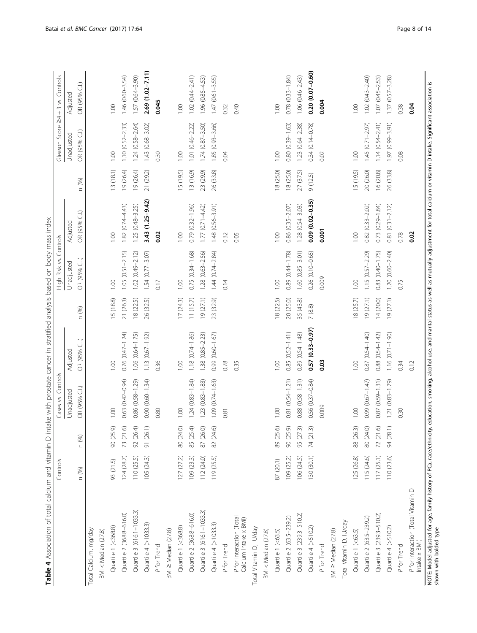<span id="page-7-0"></span>

|                                                                                                                                                                                                                                                     | Controls   |           | Cases vs. Controls                  |                        |                  | High Risk vs.       | Controls            |           | Gleason Score           | $24 + 3$ vs. Controls |
|-----------------------------------------------------------------------------------------------------------------------------------------------------------------------------------------------------------------------------------------------------|------------|-----------|-------------------------------------|------------------------|------------------|---------------------|---------------------|-----------|-------------------------|-----------------------|
|                                                                                                                                                                                                                                                     |            |           | Unadjusted                          | Adjusted               |                  | Unadjusted          | Adjusted            |           | Unadjusted              | Adjusted              |
|                                                                                                                                                                                                                                                     | n (%)      | n (%)     | OR (95% C.I.)                       | €<br>OR (95%           | (%)<br>$\subset$ | OR (95% C.I.)       | G)<br>OR (95%       | n (%)     | OR (95% C.I.)           | OR (95% C.I.)         |
| Total Calcium, mg/day                                                                                                                                                                                                                               |            |           |                                     |                        |                  |                     |                     |           |                         |                       |
| $BM < M$ edian (27.8)                                                                                                                                                                                                                               |            |           |                                     |                        |                  |                     |                     |           |                         |                       |
| Quartile 1 (<368.8)                                                                                                                                                                                                                                 | 93 (21.5)  | 90 (25.9) | 1.00                                | 1.00                   | 15 (18.8)        | 1.00                | 1.00                | 13(18.1)  | 1.00                    | 1.00                  |
| Quartile 2 (368.8-616.0)                                                                                                                                                                                                                            | 124(28.7)  | 73 (21.6) | 0.63 (0.42-0.94)                    | $0.76$ $(0.47 - 1.24)$ | 21 (26.3)        | $1.05(0.51 - 2.15)$ | $1.82(0.74 - 4.43)$ | 19 (26.4) | $1.10(0.52 - 2.33)$     | $1.46(0.60 - 3.54)$   |
| Quartile 3 (616.1-1033.3)                                                                                                                                                                                                                           | 110 (25.5) | 92 (26.4) | $0.86$ $(0.58 - 1.29)$              | 1.06 (0.64-1.75)       | 18 (22.5)        | $1.02(0.49 - 2.12)$ | $1.25(0.48 - 3.25)$ | 19 (26.4) | $1.24(0.58 - 2.64)$     | $1.57(0.64 - 3.90)$   |
| Quartile 4 (>1033.3)                                                                                                                                                                                                                                | 105(24.3)  | 91 (26.1) | $0.90(0.60 - 1.34)$                 | $1.13(0.67 - 1.92)$    | 26 (32.5)        | 1.54 (0.77-3.07)    | 3.43 (1.25-9.42)    | 21 (29.2) | 1.43 (0.68-3.02)        | 2.69 (1.02-7.11)      |
| P for Trend                                                                                                                                                                                                                                         |            |           | 0.80                                | 0.36                   |                  | 0.17                | 0.02                |           | 0.30                    | 0.045                 |
| BMI ≥ Median (27.8)                                                                                                                                                                                                                                 |            |           |                                     |                        |                  |                     |                     |           |                         |                       |
| Quartile 1 (<368.8)                                                                                                                                                                                                                                 | 127(27.2)  | 80 (24.0) | 1.00                                | 1.00                   | 17(24.3)         | 1.00                | 1.00                | 15 (19.5) | 1.00                    | 1.00                  |
| Quartile 2 (368.8-616.0)                                                                                                                                                                                                                            | 109 (23.3) | 85 (25.4) | $1.24(0.83 - 1.84)$                 | 1.18 (0.74-1.86)       | 11(15.7)         | $0.75(0.34 - 1.68)$ | $0.79(0.32 - 1.96)$ | 13 (16.9) | 1.01 (0.46-2.22)        | $1.02(0.44 - 2.41)$   |
| Quartile 3 (616.1-1033.3)                                                                                                                                                                                                                           | 112 (24.0) | 87 (26.0) | $(0.83 - 1.83)$<br>1.23             | 1.38 (0.85-2.23)       | 19 (27.1)        | 1.28 (0.63-2.56)    | $1.77(0.71 - 4.42)$ | 23 (29.9) | $(0.87 - 3.50)$<br>1.74 | 1.96 (0.85-4.53)      |
| Quartile 4 (>1033.3)                                                                                                                                                                                                                                | 119 (25.5) | 82 (24.6) | $(0.74 - 1.63)$<br>1.09             | $0.99(0.60 - 1.67)$    | 23 (32.9)        | 1.44 (0.74-2.84)    | 1.48 (0.56-3.91)    | 26 (33.8) | $(0.93 - 3.66)$<br>1.85 | $1.47(0.61 - 3.55)$   |
| P for Trend                                                                                                                                                                                                                                         |            |           | 0.81                                | 0.78                   |                  | 0.14                | 0.32                |           | 0.04                    | 0.32                  |
| P for Interaction (Total<br>Calcium Intake x BMI)                                                                                                                                                                                                   |            |           |                                     | 0.35                   |                  |                     | 0.05                |           |                         | 0.40                  |
| Total Vitamin D, IU/day                                                                                                                                                                                                                             |            |           |                                     |                        |                  |                     |                     |           |                         |                       |
| BM < Median (27.8)                                                                                                                                                                                                                                  |            |           |                                     |                        |                  |                     |                     |           |                         |                       |
| Quartile 1 (<63.5)                                                                                                                                                                                                                                  | 87 (20.1)  | 89 (25.6) | 0.00                                | 1.00                   | 18 (22.5)        | 1.00                | 001                 | 18 (25.0) | 1.00                    | 1.00                  |
| Quartile 2 (63.5-239.2)                                                                                                                                                                                                                             | 109 (25.2) | 90 (25.9) | 0.81 (0.54-1.21)                    | $0.85(0.52 - 1.41)$    | 20 (25.0)        | 0.89 (0.44-1.78)    | 0.86 (0.35-2.07)    | 18 (25.0) | $0.80(0.39 - 1.63)$     | $0.78(0.33 - 1.84)$   |
| Quartile 3 (239.3-510.2)                                                                                                                                                                                                                            | 106 (24.5) | 95 (27.3) | $0.88$ $(0.58 - 1.31)$              | 0.89 (0.54-1.48)       | 35 (43.8)        | 1.60 (0.85-3.01)    | $1.28(0.54 - 3.03)$ | 27 (37.5) | $1.23(0.64 - 2.38)$     | $1.06(0.46 - 2.43)$   |
| Quartile $4$ (>510.2)                                                                                                                                                                                                                               | 130 (30.1) | 74 (21.3) | 0.56 (0.37-0.84)                    | 0.57 (0.33-0.97)       | 7(8.8)           | 0.26 (0.10-0.65)    | $0.09(0.02 - 0.35)$ | 9(12.5)   | $(0.14 - 0.78)$<br>0.34 | $0.20(0.07 - 0.60)$   |
| P for Trend                                                                                                                                                                                                                                         |            |           | 0.009                               | 0.03                   |                  | 0.009               | 0.001               |           | 0.02                    | 0.004                 |
| BMI ≥ Median (27.8)                                                                                                                                                                                                                                 |            |           |                                     |                        |                  |                     |                     |           |                         |                       |
| Total Vitamin D, IU/day                                                                                                                                                                                                                             |            |           |                                     |                        |                  |                     |                     |           |                         |                       |
| Quartile 1 (<63.5)                                                                                                                                                                                                                                  | 125 (26.8) | 88 (26.3) | 1.00                                | 1.00                   | 18 (25.7)        | 1.00                | 1.00                | 15 (19.5) | 1.00                    | 1.00                  |
| Quartile 2 (63.5-239.2)                                                                                                                                                                                                                             | 115 (24.6) | 80 (24.0) | $0.99(0.67 - 1.47)$                 | $0.87(0.54 - 1.40)$    | 19(27.1)         | $1.15(0.57 - 2.29)$ | $0.82(0.33 - 2.02)$ | 20 (26.0) | $1.45(0.71 - 2.97)$     | $1.02(0.43 - 2.40)$   |
| Quartile 3 (239.3-510.2)                                                                                                                                                                                                                            | 117(25.1)  | 72 (21.6) | $(0.59 - 1.31)$<br>0.87             | 0.88 (0.54-1.42)       | 14(20.0)         | 0.83 (0.40-1.75)    | $0.73(0.29 - 1.84)$ | 16 (20.8) | $1.14(0.54 - 2.41)$     | $1.07(0.45 - 2.53)$   |
| Quartile $4$ (>510.2)                                                                                                                                                                                                                               | 110 (23.6) | 94 (28.1) | $(0.83 - 1.79)$<br>$\overline{121}$ | $1.16(0.71 - 1.90)$    | 19(27.1)         | 1.20 (0.60-2.40)    | $0.81(0.31 - 2.12)$ | 26 (33.8) | 1.97 (0.99-3.91)        | $1.37(0.57 - 3.28)$   |
| P for Trend                                                                                                                                                                                                                                         |            |           | 0.30                                | 0.34                   |                  | 0.75                | 0.78                |           | 0.08                    | 0.38                  |
| P for Interaction (Total Vitamin D<br>Intake x BMI)                                                                                                                                                                                                 |            |           |                                     | 0.12                   |                  |                     | 0.02                |           |                         | 0.04                  |
| NOTE: Model adjusted for age, family history of PCa, race/ethnicity, education, smoking, alcohol use, and marital status as well as mutually adjustment for total calcium or vitamin D intake. Significant association is<br>shown with bolded type |            |           |                                     |                        |                  |                     |                     |           |                         |                       |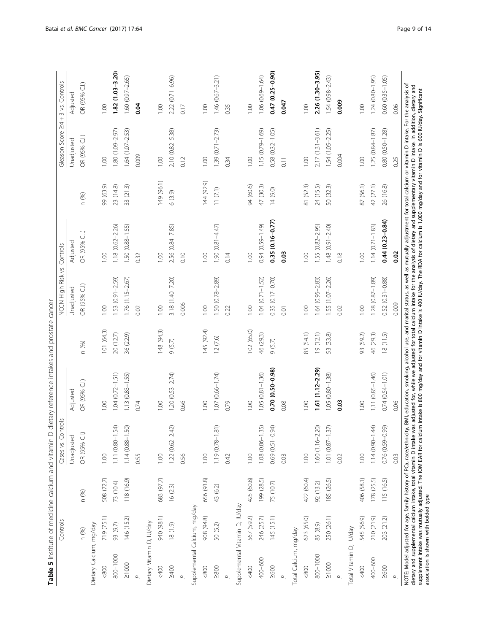<span id="page-8-0"></span>

| 1.00<br>0.03<br>1.00<br>0.10<br>1.00<br>0.14<br>1.00<br>1.00<br>0.32<br>$3.18(1.40 - 7.20)$<br>$1.53(0.91 - 2.59)$<br>1.50 (0.78-2.89)<br>$1.04(0.71 - 1.52)$<br>0.35 (0.17-0.70)<br>$1.64(0.95 - 2.83)$<br>$1.55(1.07 - 2.26)$<br>1.76 (1.15-2.67)<br>OR (95% C.I.)<br>Unadjusted<br>0.006<br>0.00<br>0.00<br>1.00<br>1.00<br>1.00<br>0.22<br>0.02<br>0.01<br>101(64.3)<br>148 (94.3)<br>145 (92.4)<br>102 (65.0)<br>85 (54.1)<br>19(12.1)<br>20 (12.7)<br>36 (22.9)<br>46 (29.3)<br>53 (33.8)<br>12 (7.6)<br>9 (5.7)<br>9 (5.7)<br>n (%)<br>$1.61(1.12 - 2.29)$<br>0.70 (0.50-0.98)<br>$1.04(0.72 - 1.51)$<br>$1.05(0.81 - 1.36)$<br>$1.13(0.83 - 1.55)$<br>$1.20(0.53 - 2.74)$<br>1.07 (0.66-1.74)<br>1.05 (0.80-1.38)<br>OR (95% C.I.)<br>Adjusted<br>1.00<br>0.74<br>1.00<br>1.00<br>1.00<br>1.00<br>0.66<br>0.79<br>0.08<br>1.11 (0.80-1.54)<br>1.19 (0.78-1.81)<br>$0.69$ $(0.51 - 0.94)$<br>1.60 (1.16-2.20)<br>$1.14(0.88 - 1.50)$<br>$1.22(0.62 - 2.42)$<br>$1.08$ $(0.86 - 1.35)$<br>$1.01 (0.87 - 1.37)$<br>OR (95% C.I.)<br>Unadjusted<br>1.00<br>0.55<br>1,00<br>0.56<br>1.00<br>1.00<br>1.00<br>0.42<br>0.03<br>0.02<br>683 (97.7)<br>422 (60.4)<br>508 (72.7)<br>118 (16.9)<br>425 (60.8)<br>199 (28.5)<br>185 (26.5)<br>656 (93.8)<br>73 (10.4)<br>75 (10.7)<br>92 (13.2)<br>16(2.3)<br>43 (6.2)<br>n (%)<br>Supplemental Vitamin D, IU/day<br>Supplemental Calcium, mg/day<br>940 (98.1)<br>145(15.1)<br>623 (65.0)<br>719 (75.1)<br>250 (26.1)<br>146 (15.2)<br>908 (94.8)<br>567 (59.2)<br>246 (25.7)<br>Dietary Vitamin D, IU/day<br>93 (9.7)<br>$(6.1)$ 81<br>Dietary Calcium, mg/day<br>50 (5.2)<br>85 (8.9)<br>Total Calcium, mg/day<br>n (%)<br>800-1000<br>800-1000<br>400-600<br>$\geq 10000$<br>$\geq 10000$<br>2400<br>> 800<br>>600<br>&800<br>&800<br><400<br>$<\!800$<br><400<br>$\Delta$<br>$\Delta$<br>$\Delta$<br>$\Delta$<br>$\Delta$ |      |      | 1.18 (0.62-2.26)<br>1.50 (0.88-1.55)<br>2.56 (0.84-7.85)<br>1.90 (0.81-4.47)<br>OR (95% C.I.)<br>Adjusted | 149 (96.1)<br>99 (63.9)<br>23 (14.8)<br>33 (21.3)<br>6(3.9)<br>n (%) | $1.64(1.07 - 2.53)$<br>1.80 (1.09-2.97)<br>OR (95% C.I.)<br>Unadjusted<br>0.009<br>0.00 | $1.82(1.03 - 3.20)$<br>OR (95% C.I.)<br>Adjusted<br>1.00 |
|---------------------------------------------------------------------------------------------------------------------------------------------------------------------------------------------------------------------------------------------------------------------------------------------------------------------------------------------------------------------------------------------------------------------------------------------------------------------------------------------------------------------------------------------------------------------------------------------------------------------------------------------------------------------------------------------------------------------------------------------------------------------------------------------------------------------------------------------------------------------------------------------------------------------------------------------------------------------------------------------------------------------------------------------------------------------------------------------------------------------------------------------------------------------------------------------------------------------------------------------------------------------------------------------------------------------------------------------------------------------------------------------------------------------------------------------------------------------------------------------------------------------------------------------------------------------------------------------------------------------------------------------------------------------------------------------------------------------------------------------------------------------------------------------------------------------------------------------------------------------------|------|------|-----------------------------------------------------------------------------------------------------------|----------------------------------------------------------------------|-----------------------------------------------------------------------------------------|----------------------------------------------------------|
|                                                                                                                                                                                                                                                                                                                                                                                                                                                                                                                                                                                                                                                                                                                                                                                                                                                                                                                                                                                                                                                                                                                                                                                                                                                                                                                                                                                                                                                                                                                                                                                                                                                                                                                                                                                                                                                                           |      |      |                                                                                                           |                                                                      |                                                                                         |                                                          |
|                                                                                                                                                                                                                                                                                                                                                                                                                                                                                                                                                                                                                                                                                                                                                                                                                                                                                                                                                                                                                                                                                                                                                                                                                                                                                                                                                                                                                                                                                                                                                                                                                                                                                                                                                                                                                                                                           |      |      |                                                                                                           |                                                                      |                                                                                         |                                                          |
|                                                                                                                                                                                                                                                                                                                                                                                                                                                                                                                                                                                                                                                                                                                                                                                                                                                                                                                                                                                                                                                                                                                                                                                                                                                                                                                                                                                                                                                                                                                                                                                                                                                                                                                                                                                                                                                                           |      |      |                                                                                                           |                                                                      |                                                                                         |                                                          |
|                                                                                                                                                                                                                                                                                                                                                                                                                                                                                                                                                                                                                                                                                                                                                                                                                                                                                                                                                                                                                                                                                                                                                                                                                                                                                                                                                                                                                                                                                                                                                                                                                                                                                                                                                                                                                                                                           |      |      |                                                                                                           |                                                                      |                                                                                         |                                                          |
|                                                                                                                                                                                                                                                                                                                                                                                                                                                                                                                                                                                                                                                                                                                                                                                                                                                                                                                                                                                                                                                                                                                                                                                                                                                                                                                                                                                                                                                                                                                                                                                                                                                                                                                                                                                                                                                                           |      |      |                                                                                                           |                                                                      |                                                                                         |                                                          |
|                                                                                                                                                                                                                                                                                                                                                                                                                                                                                                                                                                                                                                                                                                                                                                                                                                                                                                                                                                                                                                                                                                                                                                                                                                                                                                                                                                                                                                                                                                                                                                                                                                                                                                                                                                                                                                                                           |      |      |                                                                                                           |                                                                      |                                                                                         | $1.60(0.97 - 2.65)$                                      |
|                                                                                                                                                                                                                                                                                                                                                                                                                                                                                                                                                                                                                                                                                                                                                                                                                                                                                                                                                                                                                                                                                                                                                                                                                                                                                                                                                                                                                                                                                                                                                                                                                                                                                                                                                                                                                                                                           |      |      |                                                                                                           |                                                                      |                                                                                         | 0.04                                                     |
|                                                                                                                                                                                                                                                                                                                                                                                                                                                                                                                                                                                                                                                                                                                                                                                                                                                                                                                                                                                                                                                                                                                                                                                                                                                                                                                                                                                                                                                                                                                                                                                                                                                                                                                                                                                                                                                                           |      |      |                                                                                                           |                                                                      |                                                                                         |                                                          |
|                                                                                                                                                                                                                                                                                                                                                                                                                                                                                                                                                                                                                                                                                                                                                                                                                                                                                                                                                                                                                                                                                                                                                                                                                                                                                                                                                                                                                                                                                                                                                                                                                                                                                                                                                                                                                                                                           |      |      |                                                                                                           |                                                                      | 0.00                                                                                    | 1.00                                                     |
|                                                                                                                                                                                                                                                                                                                                                                                                                                                                                                                                                                                                                                                                                                                                                                                                                                                                                                                                                                                                                                                                                                                                                                                                                                                                                                                                                                                                                                                                                                                                                                                                                                                                                                                                                                                                                                                                           |      |      |                                                                                                           |                                                                      | 2.10 (0.82-5.38)                                                                        | $2.22(0.71 - 6.96)$                                      |
|                                                                                                                                                                                                                                                                                                                                                                                                                                                                                                                                                                                                                                                                                                                                                                                                                                                                                                                                                                                                                                                                                                                                                                                                                                                                                                                                                                                                                                                                                                                                                                                                                                                                                                                                                                                                                                                                           |      |      |                                                                                                           |                                                                      | 0.12                                                                                    | 0.17                                                     |
|                                                                                                                                                                                                                                                                                                                                                                                                                                                                                                                                                                                                                                                                                                                                                                                                                                                                                                                                                                                                                                                                                                                                                                                                                                                                                                                                                                                                                                                                                                                                                                                                                                                                                                                                                                                                                                                                           |      |      |                                                                                                           |                                                                      |                                                                                         |                                                          |
|                                                                                                                                                                                                                                                                                                                                                                                                                                                                                                                                                                                                                                                                                                                                                                                                                                                                                                                                                                                                                                                                                                                                                                                                                                                                                                                                                                                                                                                                                                                                                                                                                                                                                                                                                                                                                                                                           |      |      |                                                                                                           | 144 (92.9)                                                           | 1.00                                                                                    | 1.00                                                     |
|                                                                                                                                                                                                                                                                                                                                                                                                                                                                                                                                                                                                                                                                                                                                                                                                                                                                                                                                                                                                                                                                                                                                                                                                                                                                                                                                                                                                                                                                                                                                                                                                                                                                                                                                                                                                                                                                           |      |      |                                                                                                           | 11(7.1)                                                              | $1.39(0.71 - 2.73)$                                                                     | $1.46(0.67 - 3.21)$                                      |
|                                                                                                                                                                                                                                                                                                                                                                                                                                                                                                                                                                                                                                                                                                                                                                                                                                                                                                                                                                                                                                                                                                                                                                                                                                                                                                                                                                                                                                                                                                                                                                                                                                                                                                                                                                                                                                                                           |      |      |                                                                                                           |                                                                      | 0.34                                                                                    | 0.35                                                     |
|                                                                                                                                                                                                                                                                                                                                                                                                                                                                                                                                                                                                                                                                                                                                                                                                                                                                                                                                                                                                                                                                                                                                                                                                                                                                                                                                                                                                                                                                                                                                                                                                                                                                                                                                                                                                                                                                           |      |      |                                                                                                           |                                                                      |                                                                                         |                                                          |
|                                                                                                                                                                                                                                                                                                                                                                                                                                                                                                                                                                                                                                                                                                                                                                                                                                                                                                                                                                                                                                                                                                                                                                                                                                                                                                                                                                                                                                                                                                                                                                                                                                                                                                                                                                                                                                                                           |      |      |                                                                                                           | 94 (60.6)                                                            | 1.00                                                                                    | 1.00                                                     |
|                                                                                                                                                                                                                                                                                                                                                                                                                                                                                                                                                                                                                                                                                                                                                                                                                                                                                                                                                                                                                                                                                                                                                                                                                                                                                                                                                                                                                                                                                                                                                                                                                                                                                                                                                                                                                                                                           |      |      | 0.94 (0.59-1.49)                                                                                          | 47 (30.3)                                                            | $1.15(0.79 - 1.69)$                                                                     | $1.06(0.69 - 1.64)$                                      |
|                                                                                                                                                                                                                                                                                                                                                                                                                                                                                                                                                                                                                                                                                                                                                                                                                                                                                                                                                                                                                                                                                                                                                                                                                                                                                                                                                                                                                                                                                                                                                                                                                                                                                                                                                                                                                                                                           |      |      | 0.35 (0.16-0.77)                                                                                          | 14(9.0)                                                              | $0.58$ $(0.32 - 1.05)$                                                                  | 0.47 (0.25-0.90)                                         |
|                                                                                                                                                                                                                                                                                                                                                                                                                                                                                                                                                                                                                                                                                                                                                                                                                                                                                                                                                                                                                                                                                                                                                                                                                                                                                                                                                                                                                                                                                                                                                                                                                                                                                                                                                                                                                                                                           |      |      |                                                                                                           |                                                                      | $\overline{0.11}$                                                                       | 0.047                                                    |
|                                                                                                                                                                                                                                                                                                                                                                                                                                                                                                                                                                                                                                                                                                                                                                                                                                                                                                                                                                                                                                                                                                                                                                                                                                                                                                                                                                                                                                                                                                                                                                                                                                                                                                                                                                                                                                                                           |      |      |                                                                                                           |                                                                      |                                                                                         |                                                          |
|                                                                                                                                                                                                                                                                                                                                                                                                                                                                                                                                                                                                                                                                                                                                                                                                                                                                                                                                                                                                                                                                                                                                                                                                                                                                                                                                                                                                                                                                                                                                                                                                                                                                                                                                                                                                                                                                           |      |      |                                                                                                           | 81 (52.3)                                                            | 00.1                                                                                    | 1.00                                                     |
|                                                                                                                                                                                                                                                                                                                                                                                                                                                                                                                                                                                                                                                                                                                                                                                                                                                                                                                                                                                                                                                                                                                                                                                                                                                                                                                                                                                                                                                                                                                                                                                                                                                                                                                                                                                                                                                                           |      |      | $1.55(0.82 - 2.95)$                                                                                       | 24 (15.5)                                                            | $2.17(1.31 - 3.61)$                                                                     | 2.26 (1.30-3.95)                                         |
|                                                                                                                                                                                                                                                                                                                                                                                                                                                                                                                                                                                                                                                                                                                                                                                                                                                                                                                                                                                                                                                                                                                                                                                                                                                                                                                                                                                                                                                                                                                                                                                                                                                                                                                                                                                                                                                                           |      |      | 1.48 (0.91-2.40)                                                                                          | 50 (32.3)                                                            | 1.54 (1.05-2.25)                                                                        | $1.54(0.98 - 2.43)$                                      |
|                                                                                                                                                                                                                                                                                                                                                                                                                                                                                                                                                                                                                                                                                                                                                                                                                                                                                                                                                                                                                                                                                                                                                                                                                                                                                                                                                                                                                                                                                                                                                                                                                                                                                                                                                                                                                                                                           | 0.03 | 0.02 | 0.18                                                                                                      |                                                                      | 0.004                                                                                   | 0.009                                                    |
| Total Vitamin D, IU/day                                                                                                                                                                                                                                                                                                                                                                                                                                                                                                                                                                                                                                                                                                                                                                                                                                                                                                                                                                                                                                                                                                                                                                                                                                                                                                                                                                                                                                                                                                                                                                                                                                                                                                                                                                                                                                                   |      |      |                                                                                                           |                                                                      |                                                                                         |                                                          |
| 0.00<br>0.00<br>93 (59.2)<br>0.00<br>0.00<br>406 (58.1)<br>545 (56.9)<br><400                                                                                                                                                                                                                                                                                                                                                                                                                                                                                                                                                                                                                                                                                                                                                                                                                                                                                                                                                                                                                                                                                                                                                                                                                                                                                                                                                                                                                                                                                                                                                                                                                                                                                                                                                                                             |      |      |                                                                                                           | 87 (56.1)                                                            | 0.00                                                                                    | 0.00                                                     |
| 1.28 (0.87-1.89)<br>46 (29.3)<br>$1.11(0.85 - 1.46)$<br>$1.14(0.90 - 1.44)$<br>178 (25.5)<br>210 (21.9)<br>400-600                                                                                                                                                                                                                                                                                                                                                                                                                                                                                                                                                                                                                                                                                                                                                                                                                                                                                                                                                                                                                                                                                                                                                                                                                                                                                                                                                                                                                                                                                                                                                                                                                                                                                                                                                        |      |      | $1.14(0.71 - 1.83)$                                                                                       | 42 (27.1)                                                            | $1.25(0.84 - 1.87)$                                                                     | $1.24(0.80 - 1.95)$                                      |
| $0.52(0.31 - 0.88)$<br>18(11.5)<br>$0.74(0.54 - 1.01)$<br>0.76 (0.59-0.99)<br>115 (16.5)<br>203 (21.2)<br>$\geq 600$                                                                                                                                                                                                                                                                                                                                                                                                                                                                                                                                                                                                                                                                                                                                                                                                                                                                                                                                                                                                                                                                                                                                                                                                                                                                                                                                                                                                                                                                                                                                                                                                                                                                                                                                                      |      |      | $0.44(0.23 - 0.84)$                                                                                       | 26 (16.8)                                                            | 0.80 (0.50-1.28)                                                                        | $0.60(0.35 - 1.05)$                                      |
| 0.02<br>0.009<br>0.06<br>0.03<br>$\Delta$                                                                                                                                                                                                                                                                                                                                                                                                                                                                                                                                                                                                                                                                                                                                                                                                                                                                                                                                                                                                                                                                                                                                                                                                                                                                                                                                                                                                                                                                                                                                                                                                                                                                                                                                                                                                                                 |      |      |                                                                                                           |                                                                      | 0.25                                                                                    | 0.06                                                     |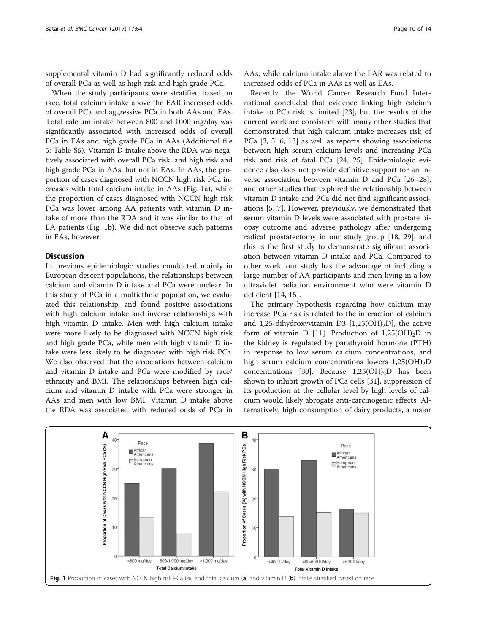supplemental vitamin D had significantly reduced odds of overall PCa as well as high risk and high grade PCa.

When the study participants were stratified based on race, total calcium intake above the EAR increased odds of overall PCa and aggressive PCa in both AAs and EAs. Total calcium intake between 800 and 1000 mg/day was significantly associated with increased odds of overall PCa in EAs and high grade PCa in AAs (Additional file [5:](#page-11-0) Table S5). Vitamin D intake above the RDA was negatively associated with overall PCa risk, and high risk and high grade PCa in AAs, but not in EAs. In AAs, the proportion of cases diagnosed with NCCN high risk PCa increases with total calcium intake in AAs (Fig. 1a), while the proportion of cases diagnosed with NCCN high risk PCa was lower among AA patients with vitamin D intake of more than the RDA and it was similar to that of EA patients (Fig. 1b). We did not observe such patterns in EAs, however.

## Discussion

In previous epidemiologic studies conducted mainly in European descent populations, the relationships between calcium and vitamin D intake and PCa were unclear. In this study of PCa in a multiethnic population, we evaluated this relationship, and found positive associations with high calcium intake and inverse relationships with high vitamin D intake. Men with high calcium intake were more likely to be diagnosed with NCCN high risk and high grade PCa, while men with high vitamin D intake were less likely to be diagnosed with high risk PCa. We also observed that the associations between calcium and vitamin D intake and PCa were modified by race/ ethnicity and BMI. The relationships between high calcium and vitamin D intake with PCa were stronger in AAs and men with low BMI. Vitamin D intake above the RDA was associated with reduced odds of PCa in

AAs, while calcium intake above the EAR was related to increased odds of PCa in AAs as well as EAs.

Recently, the World Cancer Research Fund International concluded that evidence linking high calcium intake to PCa risk is limited [\[23](#page-12-0)], but the results of the current work are consistent with many other studies that demonstrated that high calcium intake increases risk of PCa [\[3, 5, 6](#page-11-0), [13\]](#page-12-0) as well as reports showing associations between high serum calcium levels and increasing PCa risk and risk of fatal PCa [[24, 25](#page-12-0)]. Epidemiologic evidence also does not provide definitive support for an inverse association between vitamin D and PCa [[26](#page-12-0)–[28](#page-12-0)], and other studies that explored the relationship between vitamin D intake and PCa did not find significant associations [[5, 7](#page-11-0)]. However, previously, we demonstrated that serum vitamin D levels were associated with prostate biopsy outcome and adverse pathology after undergoing radical prostatectomy in our study group [[18](#page-12-0), [29\]](#page-12-0), and this is the first study to demonstrate significant association between vitamin D intake and PCa. Compared to other work, our study has the advantage of including a large number of AA participants and men living in a low ultraviolet radiation environment who were vitamin D deficient [[14, 15\]](#page-12-0).

The primary hypothesis regarding how calcium may increase PCa risk is related to the interaction of calcium and 1,25-dihydroxyvitamin D3  $[1,25(OH),D]$ , the active form of vitamin D [\[11](#page-12-0)]. Production of  $1,25(OH)_{2}D$  in the kidney is regulated by parathyroid hormone (PTH) in response to low serum calcium concentrations, and high serum calcium concentrations lowers  $1,25(OH)_{2}D$ concentrations [\[30](#page-12-0)]. Because  $1,25(OH)_{2}D$  has been shown to inhibit growth of PCa cells [\[31](#page-12-0)], suppression of its production at the cellular level by high levels of calcium would likely abrogate anti-carcinogenic effects. Alternatively, high consumption of dairy products, a major

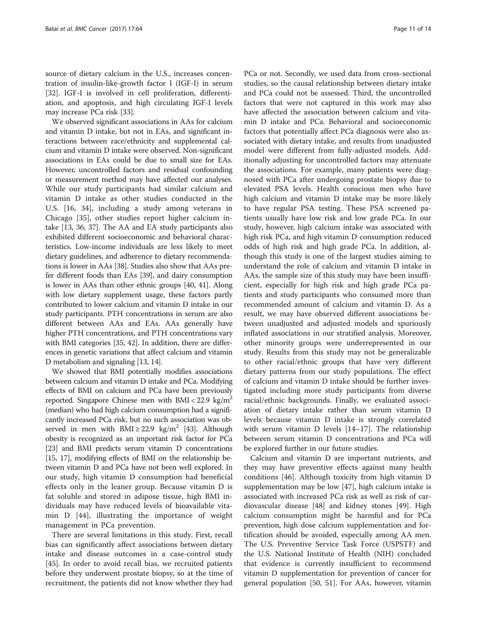source of dietary calcium in the U.S., increases concentration of insulin-like-growth factor I (IGF-I) in serum [[32\]](#page-12-0). IGF-I is involved in cell proliferation, differentiation, and apoptosis, and high circulating IGF-I levels may increase PCa risk [\[33](#page-12-0)].

We observed significant associations in AAs for calcium and vitamin D intake, but not in EAs, and significant interactions between race/ethnicity and supplemental calcium and vitamin D intake were observed. Non-significant associations in EAs could be due to small size for EAs. However, uncontrolled factors and residual confounding or measurement method may have affected our analyses. While our study participants had similar calcium and vitamin D intake as other studies conducted in the U.S. [[16, 34](#page-12-0)], including a study among veterans in Chicago [[35\]](#page-12-0), other studies report higher calcium intake [[13](#page-12-0), [36, 37\]](#page-12-0). The AA and EA study participants also exhibited different socioeconomic and behavioral characteristics. Low-income individuals are less likely to meet dietary guidelines, and adherence to dietary recommendations is lower in AAs [[38](#page-12-0)]. Studies also show that AAs prefer different foods than EAs [[39](#page-12-0)], and dairy consumption is lower in AAs than other ethnic groups [[40](#page-12-0), [41](#page-12-0)]. Along with low dietary supplement usage, these factors partly contributed to lower calcium and vitamin D intake in our study participants. PTH concentrations in serum are also different between AAs and EAs. AAs generally have higher PTH concentrations, and PTH concentrations vary with BMI categories [\[35](#page-12-0), [42\]](#page-12-0). In addition, there are differences in genetic variations that affect calcium and vitamin D metabolism and signaling [\[13, 14\]](#page-12-0).

We showed that BMI potentially modifies associations between calcium and vitamin D intake and PCa. Modifying effects of BMI on calcium and PCa have been previously reported. Singapore Chinese men with  $BMI < 22.9$  kg/m<sup>2</sup> (median) who had high calcium consumption had a significantly increased PCa risk, but no such association was ob-served in men with BMI ≥ 22.9 kg/m<sup>2</sup> [\[43\]](#page-12-0). Although obesity is recognized as an important risk factor for PCa [[23](#page-12-0)] and BMI predicts serum vitamin D concentrations [[15](#page-12-0), [17](#page-12-0)], modifying effects of BMI on the relationship between vitamin D and PCa have not been well explored. In our study, high vitamin D consumption had beneficial effects only in the leaner group. Because vitamin D is fat soluble and stored in adipose tissue, high BMI individuals may have reduced levels of bioavailable vitamin D [[44\]](#page-12-0), illustrating the importance of weight management in PCa prevention.

There are several limitations in this study. First, recall bias can significantly affect associations between dietary intake and disease outcomes in a case-control study [[45\]](#page-12-0). In order to avoid recall bias, we recruited patients before they underwent prostate biopsy, so at the time of recruitment, the patients did not know whether they had

PCa or not. Secondly, we used data from cross-sectional studies, so the causal relationship between dietary intake and PCa could not be assessed. Third, the uncontrolled factors that were not captured in this work may also have affected the association between calcium and vitamin D intake and PCa. Behavioral and socioeconomic factors that potentially affect PCa diagnosis were also associated with dietary intake, and results from unadjusted model were different from fully-adjusted models. Additionally adjusting for uncontrolled factors may attenuate the associations. For example, many patients were diagnosed with PCa after undergoing prostate biopsy due to elevated PSA levels. Health conscious men who have high calcium and vitamin D intake may be more likely to have regular PSA testing. These PSA screened patients usually have low risk and low grade PCa. In our study, however, high calcium intake was associated with high risk PCa, and high vitamin D consumption reduced odds of high risk and high grade PCa. In addition, although this study is one of the largest studies aiming to understand the role of calcium and vitamin D intake in AAs, the sample size of this study may have been insufficient, especially for high risk and high grade PCa patients and study participants who consumed more than recommended amount of calcium and vitamin D. As a result, we may have observed different associations between unadjusted and adjusted models and spuriously inflated associations in our stratified analysis. Moreover, other minority groups were underrepresented in our study. Results from this study may not be generalizable to other racial/ethnic groups that have very different dietary patterns from our study populations. The effect of calcium and vitamin D intake should be further investigated including more study participants from diverse racial/ethnic backgrounds. Finally, we evaluated association of dietary intake rather than serum vitamin D levels because vitamin D intake is strongly correlated with serum vitamin D levels [\[14](#page-12-0)–[17\]](#page-12-0). The relationship between serum vitamin D concentrations and PCa will be explored further in our future studies.

Calcium and vitamin D are important nutrients, and they may have preventive effects against many health conditions [[46\]](#page-12-0). Although toxicity from high vitamin D supplementation may be low [[47\]](#page-12-0), high calcium intake is associated with increased PCa risk as well as risk of cardiovascular disease [\[48\]](#page-12-0) and kidney stones [[49\]](#page-12-0). High calcium consumption might be harmful and for PCa prevention, high dose calcium supplementation and fortification should be avoided, especially among AA men. The U.S. Preventive Service Task Force (USPSTF) and the U.S. National Institute of Health (NIH) concluded that evidence is currently insufficient to recommend vitamin D supplementation for prevention of cancer for general population [[50,](#page-12-0) [51\]](#page-13-0). For AAs, however, vitamin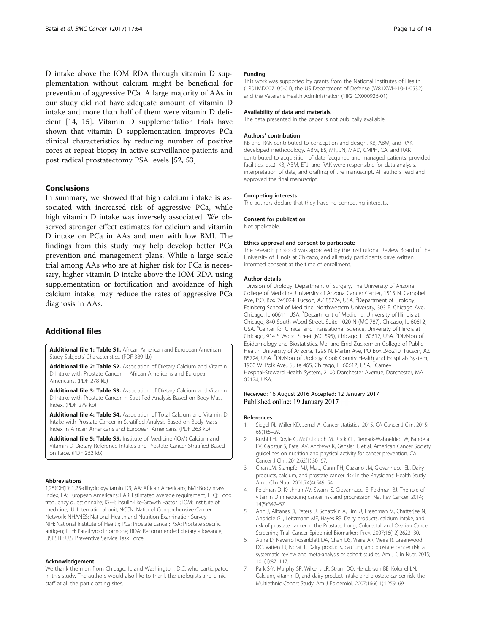<span id="page-11-0"></span>D intake above the IOM RDA through vitamin D supplementation without calcium might be beneficial for prevention of aggressive PCa. A large majority of AAs in our study did not have adequate amount of vitamin D intake and more than half of them were vitamin D deficient [\[14, 15\]](#page-12-0). Vitamin D supplementation trials have shown that vitamin D supplementation improves PCa clinical characteristics by reducing number of positive cores at repeat biopsy in active surveillance patients and post radical prostatectomy PSA levels [\[52, 53\]](#page-13-0).

## Conclusions

In summary, we showed that high calcium intake is associated with increased risk of aggressive PCa, while high vitamin D intake was inversely associated. We observed stronger effect estimates for calcium and vitamin D intake on PCa in AAs and men with low BMI. The findings from this study may help develop better PCa prevention and management plans. While a large scale trial among AAs who are at higher risk for PCa is necessary, higher vitamin D intake above the IOM RDA using supplementation or fortification and avoidance of high calcium intake, may reduce the rates of aggressive PCa diagnosis in AAs.

## Additional files

[Additional file 1: Table S1.](dx.doi.org/10.1186/s12885-017-3060-8) African American and European American Study Subjects' Characteristics. (PDF 389 kb)

[Additional file 2: Table S2.](dx.doi.org/10.1186/s12885-017-3060-8) Association of Dietary Calcium and Vitamin D Intake with Prostate Cancer in African Americans and European Americans. (PDF 278 kb)

[Additional file 3: Table S3.](dx.doi.org/10.1186/s12885-017-3060-8) Association of Dietary Calcium and Vitamin D Intake with Prostate Cancer in Stratified Analysis Based on Body Mass Index. (PDF 279 kb)

[Additional file 4: Table S4.](dx.doi.org/10.1186/s12885-017-3060-8) Association of Total Calcium and Vitamin D Intake with Prostate Cancer in Stratified Analysis Based on Body Mass Index in African Americans and European Americans. (PDF 263 kb)

[Additional file 5: Table S5.](dx.doi.org/10.1186/s12885-017-3060-8) Institute of Medicine (IOM) Calcium and Vitamin D Dietary Reference Intakes and Prostate Cancer Stratified Based on Race. (PDF 262 kb)

#### Abbreviations

1,25(OH)D: 1,25-dihydroxyvitamin D3; AA: African Americans; BMI: Body mass index; EA: European Americans; EAR: Estimated average requirement; FFQ: Food frequency questionnaire; IGF-I: Insulin-like-Growth Factor I; IOM: Institute of medicine; IU: International unit; NCCN: National Comprehensive Cancer Network; NHANES: National Health and Nutrition Examination Survey; NIH: National Institute of Health; PCa: Prostate cancer; PSA: Prostate specific antigen; PTH: Parathyroid hormone; RDA: Recommended dietary allowance; USPSTF: U.S. Preventive Service Task Force

#### Acknowledgement

We thank the men from Chicago, IL and Washington, D.C. who participated in this study. The authors would also like to thank the urologists and clinic staff at all the participating sites.

### Funding

This work was supported by grants from the National Institutes of Health (1R01MD007105-01), the US Department of Defense (W81XWH-10-1-0532), and the Veterans Health Administration (1IK2 CX000926-01).

#### Availability of data and materials

The data presented in the paper is not publically available.

#### Authors' contribution

KB and RAK contributed to conception and design. KB, ABM, and RAK developed methodology. ABM, ES, MR, JN, MAD, CMPH, CA, and RAK contributed to acquisition of data (acquired and managed patients, provided facilities, etc.). KB, ABM, ETJ, and RAK were responsible for data analysis, interpretation of data, and drafting of the manuscript. All authors read and approved the final manuscript.

#### Competing interests

The authors declare that they have no competing interests.

#### Consent for publication

Not applicable.

#### Ethics approval and consent to participate

The research protocol was approved by the Institutional Review Board of the University of Illinois at Chicago, and all study participants gave written informed consent at the time of enrollment.

### Author details

<sup>1</sup> Division of Urology, Department of Surgery, The University of Arizona College of Medicine, University of Arizona Cancer Center, 1515 N. Campbell Ave, P.O. Box 245024, Tucson, AZ 85724, USA. <sup>2</sup>Department of Urology, Feinberg School of Medicine, Northwestern University, 303 E. Chicago Ave, Chicago, IL 60611, USA. <sup>3</sup>Department of Medicine, University of Illinois at Chicago, 840 South Wood Street, Suite 1020 N (MC 787), Chicago, IL 60612, USA. <sup>4</sup> Center for Clinical and Translational Science, University of Illinois at Chicago, 914 S Wood Street (MC 595), Chicago, IL 60612, USA. <sup>5</sup>Division of Epidemiology and Biostatistics, Mel and Enid Zuckerman College of Public Health, University of Arizona, 1295 N. Martin Ave, PO Box 245210, Tucson, AZ 85724, USA. <sup>6</sup>Division of Urology, Cook County Health and Hospitals System, 1900 W. Polk Ave., Suite 465, Chicago, IL 60612, USA. <sup>7</sup>Carney Hospital-Steward Health System, 2100 Dorchester Avenue, Dorchester, MA 02124, USA.

# Received: 16 August 2016 Accepted: 12 January 2017

#### References

- 1. Siegel RL, Miller KD, Jemal A. Cancer statistics, 2015. CA Cancer J Clin. 2015; 65(1):5–29.
- 2. Kushi LH, Doyle C, McCullough M, Rock CL, Demark-Wahnefried W, Bandera EV, Gapstur S, Patel AV, Andrews K, Gansler T, et al. American Cancer Society guidelines on nutrition and physical activity for cancer prevention. CA Cancer J Clin. 2012;62(1):30–67.
- 3. Chan JM, Stampfer MJ, Ma J, Gann PH, Gaziano JM, Giovannucci EL. Dairy products, calcium, and prostate cancer risk in the Physicians' Health Study. Am J Clin Nutr. 2001;74(4):549–54.
- 4. Feldman D, Krishnan AV, Swami S, Giovannucci E, Feldman BJ. The role of vitamin D in reducing cancer risk and progression. Nat Rev Cancer. 2014; 14(5):342–57.
- 5. Ahn J, Albanes D, Peters U, Schatzkin A, Lim U, Freedman M, Chatterjee N, Andriole GL, Leitzmann MF, Hayes RB. Dairy products, calcium intake, and risk of prostate cancer in the Prostate, Lung, Colorectal, and Ovarian Cancer Screening Trial. Cancer Epidemiol Biomarkers Prev. 2007;16(12):2623–30.
- 6. Aune D, Navarro Rosenblatt DA, Chan DS, Vieira AR, Vieira R, Greenwood DC, Vatten LJ, Norat T. Dairy products, calcium, and prostate cancer risk: a systematic review and meta-analysis of cohort studies. Am J Clin Nutr. 2015; 101(1):87–117.
- 7. Park S-Y, Murphy SP, Wilkens LR, Stram DO, Henderson BE, Kolonel LN. Calcium, vitamin D, and dairy product intake and prostate cancer risk: the Multiethnic Cohort Study. Am J Epidemiol. 2007;166(11):1259–69.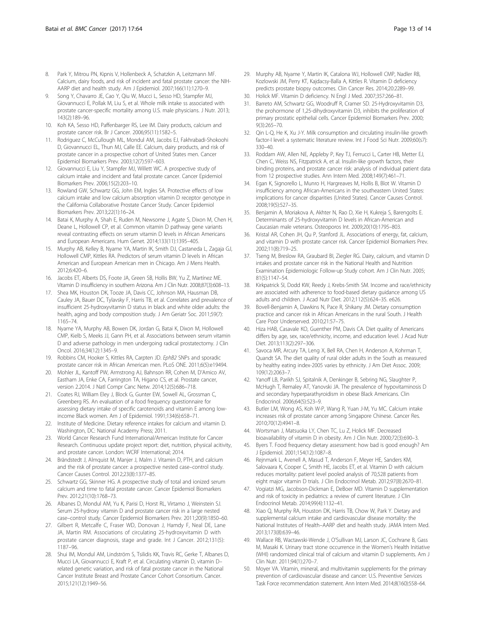- <span id="page-12-0"></span>8. Park Y, Mitrou PN, Kipnis V, Hollenbeck A, Schatzkin A, Leitzmann MF. Calcium, dairy foods, and risk of incident and fatal prostate cancer: the NIH-AARP diet and health study. Am J Epidemiol. 2007;166(11):1270–9.
- Song Y, Chavarro JE, Cao Y, Qiu W, Mucci L, Sesso HD, Stampfer MJ, Giovannucci E, Pollak M, Liu S, et al. Whole milk intake ss associated with prostate cancer-specific mortality among U.S. male physicians. J Nutr. 2013; 143(2):189–96.
- 10. Koh KA, Sesso HD, Paffenbarger RS, Lee IM. Dairy products, calcium and prostate cancer risk. Br J Cancer. 2006;95(11):1582–5.
- 11. Rodriguez C, McCullough ML, Mondul AM, Jacobs EJ, Fakhrabadi-Shokoohi D, Giovannucci EL, Thun MJ, Calle EE. Calcium, dairy products, and risk of prostate cancer in a prospective cohort of United States men. Cancer Epidemiol Biomarkers Prev. 2003;12(7):597–603.
- 12. Giovannucci E, Liu Y, Stampfer MJ, Willett WC. A prospective study of calcium intake and incident and fatal prostate cancer. Cancer Epidemiol Biomarkers Prev. 2006;15(2):203–10.
- 13. Rowland GW, Schwartz GG, John EM, Ingles SA. Protective effects of low calcium intake and low calcium absorption vitamin D receptor genotype in the California Collaborative Prostate Cancer Study. Cancer Epidemiol Biomarkers Prev. 2013;22(1):16–24.
- 14. Batai K, Murphy A, Shah E, Ruden M, Newsome J, Agate S, Dixon M, Chen H, Deane L, Hollowell CP, et al. Common vitamin D pathway gene variants reveal contrasting effects on serum vitamin D levels in African Americans and European Americans. Hum Genet. 2014;133(11):1395–405.
- 15. Murphy AB, Kelley B, Nyame YA, Martin IK, Smith DJ, Castaneda L, Zagaja GJ, Hollowell CMP, Kittles RA. Predictors of serum vitamin D levels in African American and European American men in Chicago. Am J Mens Health. 2012;6:420–6.
- 16. Jacobs ET, Alberts DS, Foote JA, Green SB, Hollis BW, Yu Z, Martínez ME. Vitamin D insufficiency in southern Arizona. Am J Clin Nutr. 2008;87(3):608–13.
- 17. Shea MK, Houston DK, Tooze JA, Davis CC, Johnson MA, Hausman DB, Cauley JA, Bauer DC, Tylavsky F, Harris TB, et al. Correlates and prevalence of insufficient 25-hydroxyvitamin D status in black and white older adults: the health, aging and body composition study. J Am Geriatr Soc. 2011;59(7): 1165–74.
- 18. Nyame YA, Murphy AB, Bowen DK, Jordan G, Batai K, Dixon M, Hollowell CMP, Kielb S, Meeks JJ, Gann PH, et al. Associations between serum vitamin D and adverse pathology in men undergoing radical prostatectomy. J Clin Oncol. 2016;34(12):1345–9.
- 19. Robbins CM, Hooker S, Kittles RA, Carpten JD. EphB2 SNPs and sporadic prostate cancer risk in African American men. PLoS ONE. 2011;6(5):e19494.
- 20. Mohler JL, Kantoff PW, Armstrong AJ, Bahnson RR, Cohen M, D'Amico AV, Eastham JA, Enke CA, Farrington TA, Higano CS, et al. Prostate cancer, version 2.2014. J Natl Compr Canc Netw. 2014;12(5):686–718.
- 21. Coates RJ, William Eley J, Block G, Gunter EW, Sowell AL, Grossman C, Greenberg RS. An evaluation of a food frequency questionnaire for assessing dietary intake of specific carotenoids and vitamin E among lowincome Black women. Am J of Epidemiol. 1991;134(6):658–71.
- 22. Institute of Medicine. Dietary reference intakes for calcium and vitamin D. Washington, DC: National Academy Press; 2011.
- 23. World Cancer Research Fund International/American Institute for Cancer Research. Continuous update project report: diet, nutrition, physical acitivity, and prostate cancer. London: WCRF International; 2014.
- 24. Brändstedt J, Almquist M, Manjer J, Malm J. Vitamin D, PTH, and calcium and the risk of prostate cancer: a prospective nested case–control study. Cancer Causes Control. 2012;23(8):1377–85.
- 25. Schwartz GG, Skinner HG. A prospective study of total and ionized serum calcium and time to fatal prostate cancer. Cancer Epidemiol Biomarkers Prev. 2012;21(10):1768–73.
- 26. Albanes D, Mondul AM, Yu K, Parisi D, Horst RL, Virtamo J, Weinstein SJ. Serum 25-hydroxy vitamin D and prostate cancer risk in a large nested case–control study. Cancer Epidemiol Biomarkers Prev. 2011;20(9):1850–60.
- 27. Gilbert R, Metcalfe C, Fraser WD, Donovan J, Hamdy F, Neal DE, Lane JA, Martin RM. Associations of circulating 25-hydroxyvitamin D with prostate cancer diagnosis, stage and grade. Int J Cancer. 2012;131(5): 1187–96.
- 28. Shui IM, Mondul AM, Lindström S, Tsilidis KK, Travis RC, Gerke T, Albanes D, Mucci LA, Giovannucci E, Kraft P, et al. Circulating vitamin D, vitamin D– related genetic variation, and risk of fatal prostate cancer in the National Cancer Institute Breast and Prostate Cancer Cohort Consortium. Cancer. 2015;121(12):1949–56.
- 29. Murphy AB, Nyame Y, Martin IK, Catalona WJ, Hollowell CMP, Nadler RB, Kozlowski JM, Perry KT, Kajdacsy-Balla A, Kittles R. Vitamin D deficiency predicts prostate biopsy outcomes. Clin Cancer Res. 2014;20:2289–99.
- 30. Holick MF. Vitamin D deficiency. N Engl J Med. 2007;357:266–81.
- 31. Barreto AM, Schwartz GG, Woodruff R, Cramer SD. 25-Hydroxyvitamin D3, the prohormone of 1,25-dihydroxyvitamin D3, inhibits the proliferation of primary prostatic epithelial cells. Cancer Epidemiol Biomarkers Prev. 2000; 9(3):265–70.
- 32. Qin L-Q, He K, Xu J-Y. Milk consumption and circulating insulin-like growth factor-I level: a systematic literature review. Int J Food Sci Nutr. 2009;60(s7): 330–40.
- 33. Roddam AW, Allen NE, Appleby P, Key TJ, Ferrucci L, Carter HB, Metter EJ, Chen C, Weiss NS, Fitzpatrick A, et al. Insulin-like growth factors, their binding proteins, and prostate cancer risk: analysis of individual patient data from 12 prospective studies. Ann Intern Med. 2008;149(7):461–71.
- 34. Egan K, Signorello L, Munro H, Hargreaves M, Hollis B, Blot W. Vitamin D insufficiency among African-Americans in the southeastern United States: implications for cancer disparities (United States). Cancer Causes Control. 2008;19(5):527–35.
- 35. Benjamin A, Moriakova A, Akhter N, Rao D, Xie H, Kukreja S, Barengolts E. Determinants of 25-hydroxyvitamin D levels in African-American and Caucasian male veterans. Osteoporos Int. 2009;20(10):1795–803.
- 36. Kristal AR, Cohen JH, Qu P, Stanford JL. Associations of energy, fat, calcium, and vitamin D with prostate cancer risk. Cancer Epidemiol Biomarkers Prev. 2002;11(8):719–25.
- 37. Tseng M, Breslow RA, Graubard BI, Ziegler RG. Dairy, calcium, and vitamin D intakes and prostate cancer risk in the National Health and Nutrition Examination Epidemiologic Follow-up Study cohort. Am J Clin Nutr. 2005; 81(5):1147–54.
- 38. Kirkpatrick SI, Dodd KW, Reedy J, Krebs-Smith SM. Income and race/ethnicity are associated with adherence to food-based dietary guidance among US adults and children. J Acad Nutr Diet. 2012;112(5):624–35. e626.
- 39. Bovell-Benjamin A, Dawkins N, Pace R, Shikany JM. Dietary consumption practice and cancer risk in African Americans in the rural South. J Health Care Poor Underserved. 2010;21:57–75.
- 40. Hiza HAB, Casavale KO, Guenther PM, Davis CA. Diet quality of Americans differs by age, sex, race/ethnicity, income, and education level. J Acad Nutr Diet. 2013;113(2):297–306.
- 41. Savoca MR, Arcury TA, Leng X, Bell RA, Chen H, Anderson A, Kohrman T, Quandt SA. The diet quality of rural older adults in the South as measured by healthy eating index-2005 varies by ethnicity. J Am Diet Assoc. 2009; 109(12):2063–7.
- 42. Yanoff LB, Parikh SJ, Spitalnik A, Denkinger B, Sebring NG, Slaughter P, McHugh T, Remaley AT, Yanovski JA. The prevalence of hypovitaminosis D and secondary hyperparathyroidism in obese Black Americans. Clin Endocrinol. 2006;64(5):523–9.
- 43. Butler LM, Wong AS, Koh W-P, Wang R, Yuan J-M, Yu MC. Calcium intake increases risk of prostate cancer among Singapore Chinese. Cancer Res. 2010;70(12):4941–8.
- 44. Wortsman J, Matsuoka LY, Chen TC, Lu Z, Holick MF. Decreased bioavailability of vitamin D in obesity. Am J Clin Nutr. 2000;72(3):690–3.
- 45. Byers T. Food frequency dietary assessment: how bad is good enough? Am J Epidemiol. 2001;154(12):1087–8.
- 46. Rejnmark L, Avenell A, Masud T, Anderson F, Meyer HE, Sanders KM, Salovaara K, Cooper C, Smith HE, Jacobs ET, et al. Vitamin D with calcium reduces mortality: patient level pooled analysis of 70,528 patients from eight major vitamin D trials. J Clin Endocrinol Metab. 2012;97(8):2670–81.
- 47. Vogiatzi MG, Jacobson-Dickman E, DeBoer MD. Vitamin D supplementation and risk of toxicity in pediatrics: a review of current literature. J Clin Endocrinol Metab. 2014;99(4):1132–41.
- 48. Xiao Q, Murphy RA, Houston DK, Harris TB, Chow W, Park Y. Dietary and supplemental calcium intake and cardiovascular disease mortality: the National Institutes of Health–AARP diet and health study. JAMA Intern Med. 2013;173(8):639–46.
- 49. Wallace RB, Wactawski-Wende J, O'Sullivan MJ, Larson JC, Cochrane B, Gass M, Masaki K. Urinary tract stone occurrence in the Women's Health Initiative (WHI) randomized clinical trial of calcium and vitamin D supplements. Am J Clin Nutr. 2011;94(1):270–7.
- 50. Moyer VA. Vitamin, mineral, and multivitamin supplements for the primary prevention of cardiovascular disease and cancer: U.S. Preventive Services Task Force recommendation statement. Ann Intern Med. 2014;8(160):558–64.